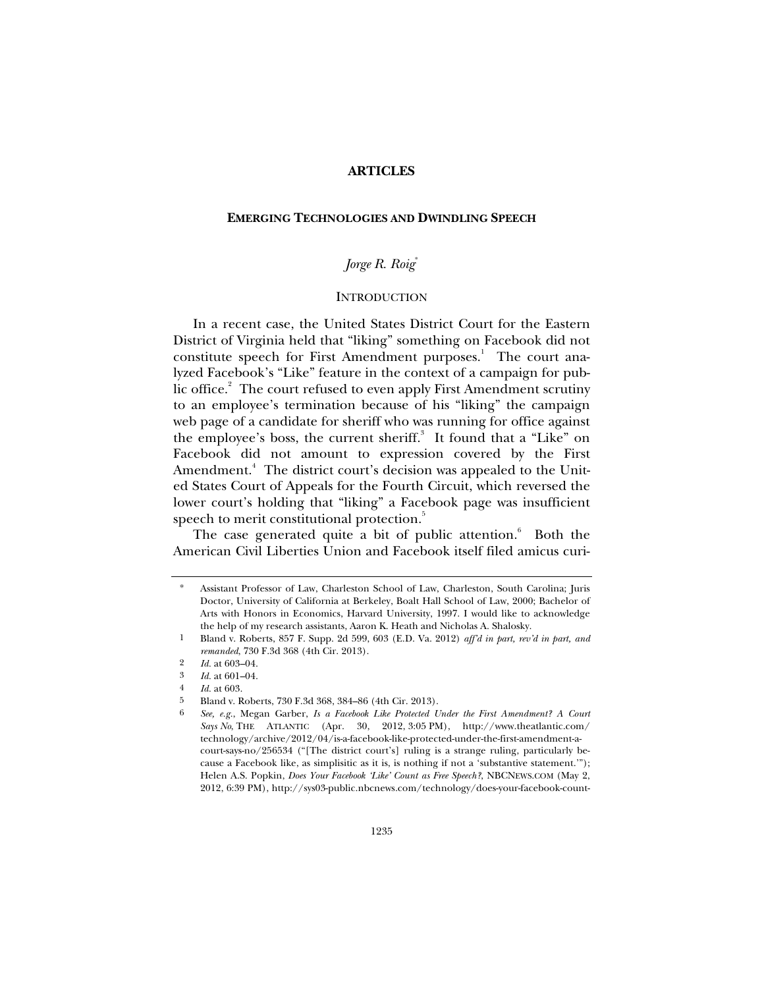# **ARTICLES**

## **EMERGING TECHNOLOGIES AND DWINDLING SPEECH**

# *Jorge R. Roig*\*

## **INTRODUCTION**

In a recent case, the United States District Court for the Eastern District of Virginia held that "liking" something on Facebook did not constitute speech for First Amendment purposes.<sup>1</sup> The court analyzed Facebook's "Like" feature in the context of a campaign for public office.<sup>2</sup> The court refused to even apply First Amendment scrutiny to an employee's termination because of his "liking" the campaign web page of a candidate for sheriff who was running for office against the employee's boss, the current sheriff.<sup>3</sup> It found that a "Like" on Facebook did not amount to expression covered by the First Amendment.<sup>4</sup> The district court's decision was appealed to the United States Court of Appeals for the Fourth Circuit, which reversed the lower court's holding that "liking" a Facebook page was insufficient speech to merit constitutional protection.<sup>5</sup>

The case generated quite a bit of public attention.<sup>6</sup> Both the American Civil Liberties Union and Facebook itself filed amicus curi-

Assistant Professor of Law, Charleston School of Law, Charleston, South Carolina; Juris Doctor, University of California at Berkeley, Boalt Hall School of Law, 2000; Bachelor of Arts with Honors in Economics, Harvard University, 1997. I would like to acknowledge the help of my research assistants, Aaron K. Heath and Nicholas A. Shalosky.

<sup>1</sup> Bland v. Roberts, 857 F. Supp. 2d 599, 603 (E.D. Va. 2012) *aff'd in part, rev'd in part, and remanded*, 730 F.3d 368 (4th Cir. 2013).

<sup>2</sup> *Id.* at 603–04.

<sup>3</sup> *Id.* at 601–04.

<sup>4</sup> *Id.* at 603.

<sup>5</sup> Bland v. Roberts, 730 F.3d 368, 384–86 (4th Cir. 2013).

<sup>6</sup> *See, e.g.*, Megan Garber, *Is a Facebook Like Protected Under the First Amendment? A Court Says No*, THE ATLANTIC (Apr. 30, 2012, 3:05 PM), http://www.theatlantic.com/ technology/archive/2012/04/is-a-facebook-like-protected-under-the-first-amendment-acourt-says-no/256534 ("[The district court's] ruling is a strange ruling, particularly because a Facebook like, as simplisitic as it is, is nothing if not a 'substantive statement.'"); Helen A.S. Popkin, *Does Your Facebook 'Like' Count as Free Speech?*, NBCNEWS.COM (May 2, 2012, 6:39 PM), http://sys03-public.nbcnews.com/technology/does-your-facebook-count-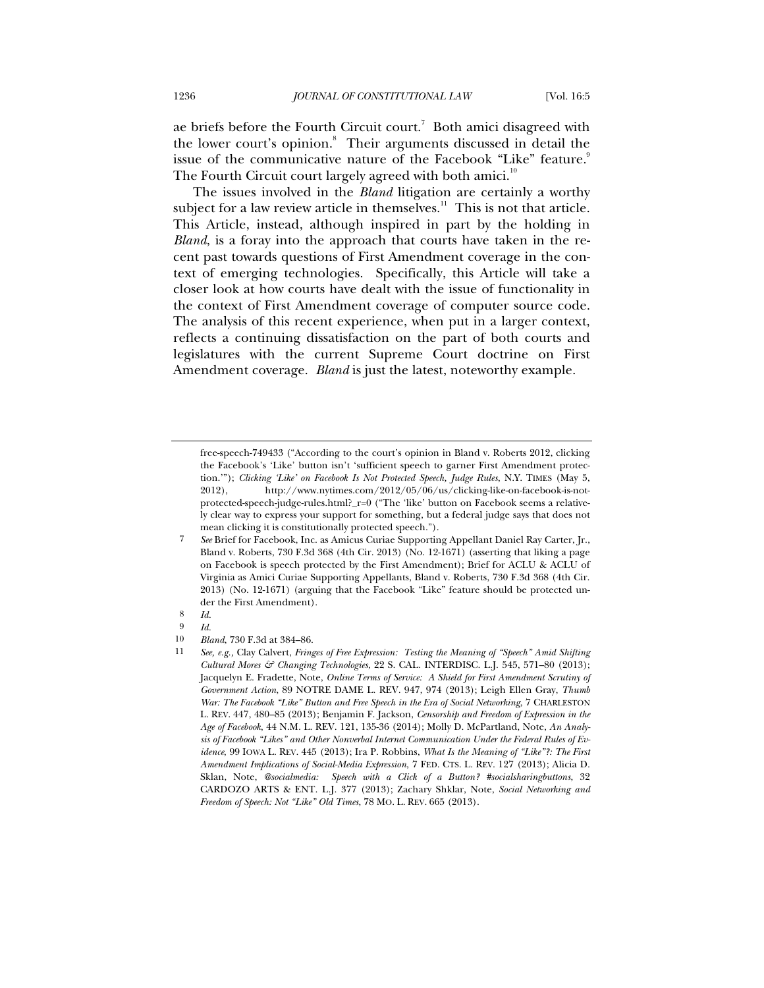ae briefs before the Fourth Circuit court.<sup>7</sup> Both amici disagreed with the lower court's opinion.<sup>8</sup> Their arguments discussed in detail the issue of the communicative nature of the Facebook "Like" feature.<sup>9</sup> The Fourth Circuit court largely agreed with both amici.<sup>10</sup>

The issues involved in the *Bland* litigation are certainly a worthy subject for a law review article in themselves. $11$  This is not that article. This Article, instead, although inspired in part by the holding in *Bland*, is a foray into the approach that courts have taken in the recent past towards questions of First Amendment coverage in the context of emerging technologies. Specifically, this Article will take a closer look at how courts have dealt with the issue of functionality in the context of First Amendment coverage of computer source code. The analysis of this recent experience, when put in a larger context, reflects a continuing dissatisfaction on the part of both courts and legislatures with the current Supreme Court doctrine on First Amendment coverage. *Bland* is just the latest, noteworthy example.

free-speech-749433 ("According to the court's opinion in Bland v. Roberts 2012, clicking the Facebook's 'Like' button isn't 'sufficient speech to garner First Amendment protection.'"); *Clicking 'Like' on Facebook Is Not Protected Speech, Judge Rules*, N.Y. TIMES (May 5, 2012), http://www.nytimes.com/2012/05/06/us/clicking-like-on-facebook-is-notprotected-speech-judge-rules.html?\_r=0 ("The 'like' button on Facebook seems a relatively clear way to express your support for something, but a federal judge says that does not mean clicking it is constitutionally protected speech.").

<sup>7</sup> *See* Brief for Facebook, Inc. as Amicus Curiae Supporting Appellant Daniel Ray Carter, Jr., Bland v. Roberts, 730 F.3d 368 (4th Cir. 2013) (No. 12-1671) (asserting that liking a page on Facebook is speech protected by the First Amendment); Brief for ACLU & ACLU of Virginia as Amici Curiae Supporting Appellants, Bland v. Roberts, 730 F.3d 368 (4th Cir. 2013) (No. 12-1671) (arguing that the Facebook "Like" feature should be protected under the First Amendment).

<sup>8</sup> *Id.*

 $\begin{array}{cc} 9 & Id. \\ 10 & Bl. \end{array}$ 

<sup>10</sup> *Bland*, 730 F.3d at 384–86.<br>11 *See e s* Clay Calvert Frinc

<sup>11</sup> *See, e.g.,* Clay Calvert, *Fringes of Free Expression: Testing the Meaning of "Speech" Amid Shifting Cultural Mores & Changing Technologies*, 22 S. CAL. INTERDISC. L.J. 545, 571–80 (2013); Jacquelyn E. Fradette, Note, *Online Terms of Service: A Shield for First Amendment Scrutiny of Government Action*, 89 NOTRE DAME L. REV. 947, 974 (2013); Leigh Ellen Gray, *Thumb War: The Facebook "Like" Button and Free Speech in the Era of Social Networking*, 7 CHARLESTON L. REV. 447, 480–85 (2013); Benjamin F. Jackson, *Censorship and Freedom of Expression in the Age of Facebook*, 44 N.M. L. REV. 121, 135-36 (2014); Molly D. McPartland, Note, *An Analysis of Facebook "Likes" and Other Nonverbal Internet Communication Under the Federal Rules of Evidence*, 99 IOWA L. REV. 445 (2013); Ira P. Robbins, *What Is the Meaning of "Like"?: The First Amendment Implications of Social-Media Expression*, 7 FED. CTS. L. REV. 127 (2013); Alicia D. Sklan, Note, *@socialmedia: Speech with a Click of a Button? #socialsharingbuttons*, 32 CARDOZO ARTS & ENT. L.J. 377 (2013); Zachary Shklar, Note, *Social Networking and Freedom of Speech: Not "Like" Old Times*, 78 MO. L. REV. 665 (2013).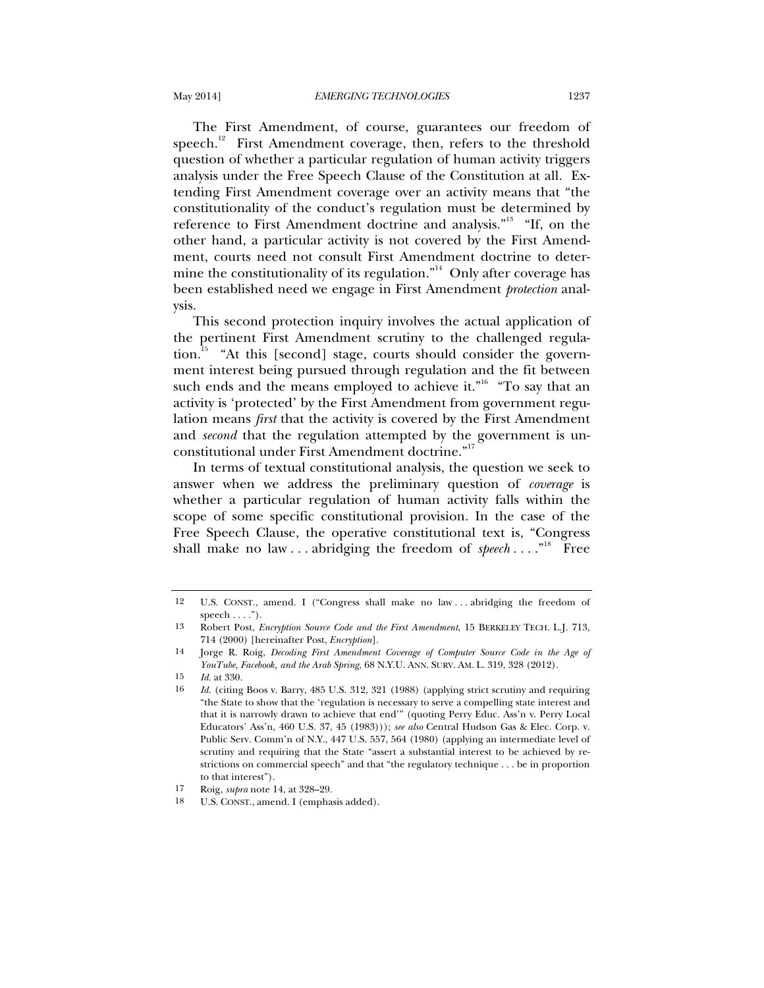The First Amendment, of course, guarantees our freedom of speech.<sup>12</sup> First Amendment coverage, then, refers to the threshold question of whether a particular regulation of human activity triggers analysis under the Free Speech Clause of the Constitution at all. Extending First Amendment coverage over an activity means that "the constitutionality of the conduct's regulation must be determined by reference to First Amendment doctrine and analysis."<sup>13</sup> "If, on the other hand, a particular activity is not covered by the First Amendment, courts need not consult First Amendment doctrine to determine the constitutionality of its regulation."<sup>14</sup> Only after coverage has been established need we engage in First Amendment *protection* analysis.

This second protection inquiry involves the actual application of the pertinent First Amendment scrutiny to the challenged regulation.15 "At this [second] stage, courts should consider the government interest being pursued through regulation and the fit between such ends and the means employed to achieve it." $6$  "To say that an activity is 'protected' by the First Amendment from government regulation means *first* that the activity is covered by the First Amendment and *second* that the regulation attempted by the government is unconstitutional under First Amendment doctrine."<sup>17</sup>

In terms of textual constitutional analysis, the question we seek to answer when we address the preliminary question of *coverage* is whether a particular regulation of human activity falls within the scope of some specific constitutional provision. In the case of the Free Speech Clause, the operative constitutional text is, "Congress shall make no law . . . abridging the freedom of *speech* . . . . <sup>"18</sup> Free

<sup>12</sup> U.S. CONST., amend. I ("Congress shall make no law . . . abridging the freedom of  $<sub>speech</sub> \ldots$ ").</sub>

<sup>13</sup> Robert Post, *Encryption Source Code and the First Amendment*, 15 BERKELEY TECH. L.J. 713, 714 (2000) [hereinafter Post, *Encryption*].

<sup>14</sup> Jorge R. Roig, *Decoding First Amendment Coverage of Computer Source Code in the Age of YouTube, Facebook, and the Arab Spring*, 68 N.Y.U. ANN. SURV. AM. L. 319, 328 (2012).

<sup>15</sup> *Id.* at 330.

<sup>16</sup> *Id.* (citing Boos v. Barry, 485 U.S. 312, 321 (1988) (applying strict scrutiny and requiring "the State to show that the 'regulation is necessary to serve a compelling state interest and that it is narrowly drawn to achieve that end'" (quoting Perry Educ. Ass'n v. Perry Local Educators' Ass'n, 460 U.S. 37, 45 (1983))); *see also* Central Hudson Gas & Elec. Corp. v. Public Serv. Comm'n of N.Y., 447 U.S. 557, 564 (1980) (applying an intermediate level of scrutiny and requiring that the State "assert a substantial interest to be achieved by restrictions on commercial speech" and that "the regulatory technique . . . be in proportion to that interest").

<sup>17</sup> Roig, *supra* note 14, at 328–29.

<sup>18</sup> U.S. CONST., amend. I (emphasis added).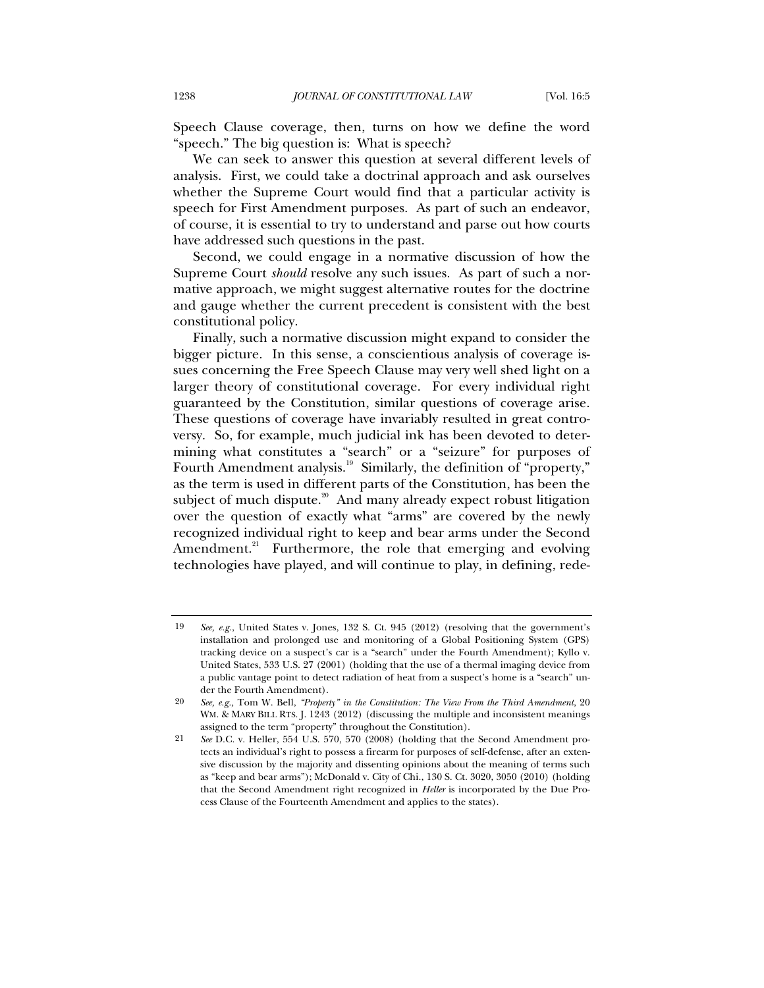Speech Clause coverage, then, turns on how we define the word "speech." The big question is: What is speech?

We can seek to answer this question at several different levels of analysis. First, we could take a doctrinal approach and ask ourselves whether the Supreme Court would find that a particular activity is speech for First Amendment purposes. As part of such an endeavor, of course, it is essential to try to understand and parse out how courts have addressed such questions in the past.

Second, we could engage in a normative discussion of how the Supreme Court *should* resolve any such issues. As part of such a normative approach, we might suggest alternative routes for the doctrine and gauge whether the current precedent is consistent with the best constitutional policy.

Finally, such a normative discussion might expand to consider the bigger picture. In this sense, a conscientious analysis of coverage issues concerning the Free Speech Clause may very well shed light on a larger theory of constitutional coverage. For every individual right guaranteed by the Constitution, similar questions of coverage arise. These questions of coverage have invariably resulted in great controversy. So, for example, much judicial ink has been devoted to determining what constitutes a "search" or a "seizure" for purposes of Fourth Amendment analysis.<sup>19</sup> Similarly, the definition of "property," as the term is used in different parts of the Constitution, has been the subject of much dispute.<sup>20</sup> And many already expect robust litigation over the question of exactly what "arms" are covered by the newly recognized individual right to keep and bear arms under the Second Amendment.<sup>21</sup> Furthermore, the role that emerging and evolving technologies have played, and will continue to play, in defining, rede-

<sup>19</sup> *See, e.g.*, United States v. Jones, 132 S. Ct. 945 (2012) (resolving that the government's installation and prolonged use and monitoring of a Global Positioning System (GPS) tracking device on a suspect's car is a "search" under the Fourth Amendment); Kyllo v. United States, 533 U.S. 27 (2001) (holding that the use of a thermal imaging device from a public vantage point to detect radiation of heat from a suspect's home is a "search" under the Fourth Amendment).

<sup>20</sup> *See, e.g.,* Tom W. Bell, *"Property" in the Constitution: The View From the Third Amendment*, 20 WM. & MARY BILL RTS. J. 1243 (2012) (discussing the multiple and inconsistent meanings assigned to the term "property" throughout the Constitution).

<sup>21</sup> *See* D.C. v. Heller, 554 U.S. 570, 570 (2008) (holding that the Second Amendment protects an individual's right to possess a firearm for purposes of self-defense, after an extensive discussion by the majority and dissenting opinions about the meaning of terms such as "keep and bear arms"); McDonald v. City of Chi., 130 S. Ct. 3020, 3050 (2010) (holding that the Second Amendment right recognized in *Heller* is incorporated by the Due Process Clause of the Fourteenth Amendment and applies to the states).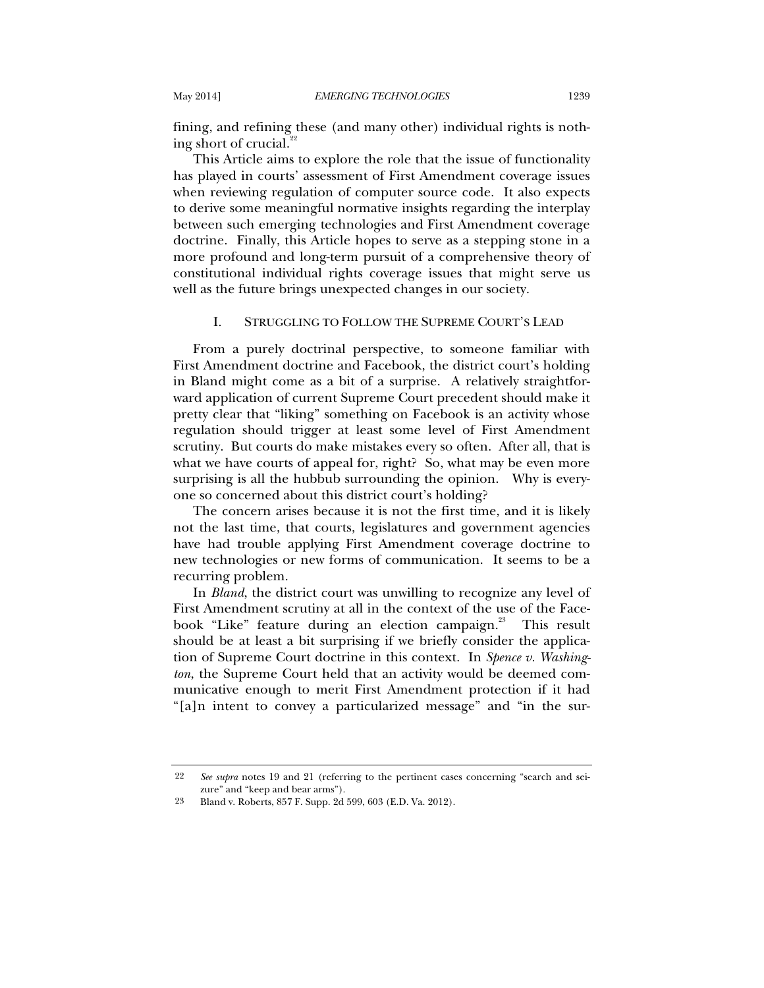fining, and refining these (and many other) individual rights is nothing short of crucial. $^{22}$ 

This Article aims to explore the role that the issue of functionality has played in courts' assessment of First Amendment coverage issues when reviewing regulation of computer source code. It also expects to derive some meaningful normative insights regarding the interplay between such emerging technologies and First Amendment coverage doctrine. Finally, this Article hopes to serve as a stepping stone in a more profound and long-term pursuit of a comprehensive theory of constitutional individual rights coverage issues that might serve us well as the future brings unexpected changes in our society.

## I. STRUGGLING TO FOLLOW THE SUPREME COURT'S LEAD

From a purely doctrinal perspective, to someone familiar with First Amendment doctrine and Facebook, the district court's holding in Bland might come as a bit of a surprise. A relatively straightforward application of current Supreme Court precedent should make it pretty clear that "liking" something on Facebook is an activity whose regulation should trigger at least some level of First Amendment scrutiny. But courts do make mistakes every so often. After all, that is what we have courts of appeal for, right? So, what may be even more surprising is all the hubbub surrounding the opinion. Why is everyone so concerned about this district court's holding?

The concern arises because it is not the first time, and it is likely not the last time, that courts, legislatures and government agencies have had trouble applying First Amendment coverage doctrine to new technologies or new forms of communication. It seems to be a recurring problem.

In *Bland*, the district court was unwilling to recognize any level of First Amendment scrutiny at all in the context of the use of the Facebook "Like" feature during an election campaign.<sup>23</sup> This result should be at least a bit surprising if we briefly consider the application of Supreme Court doctrine in this context. In *Spence v. Washington*, the Supreme Court held that an activity would be deemed communicative enough to merit First Amendment protection if it had "[a]n intent to convey a particularized message" and "in the sur-

<sup>22</sup> *See supra* notes 19 and 21 (referring to the pertinent cases concerning "search and seizure" and "keep and bear arms").

<sup>23</sup> Bland v. Roberts, 857 F. Supp. 2d 599, 603 (E.D. Va. 2012).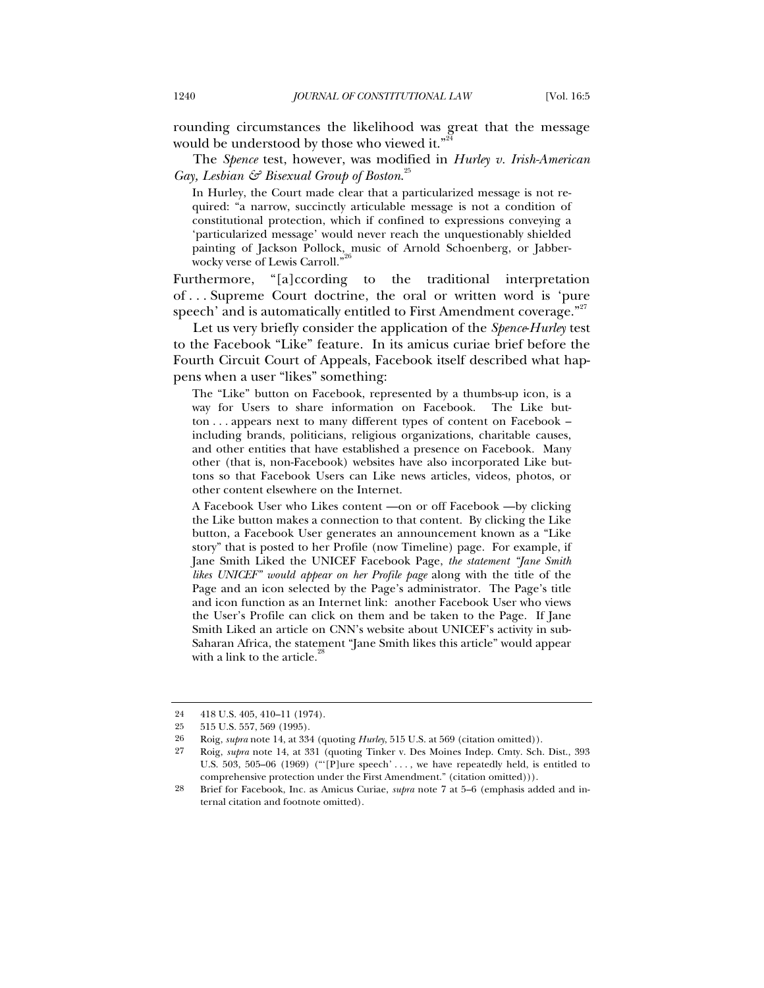rounding circumstances the likelihood was great that the message would be understood by those who viewed it."<sup>24</sup>

The *Spence* test, however, was modified in *Hurley v. Irish-American Gay, Lesbian & Bisexual Group of Boston*. 25

In Hurley, the Court made clear that a particularized message is not required: "a narrow, succinctly articulable message is not a condition of constitutional protection, which if confined to expressions conveying a 'particularized message' would never reach the unquestionably shielded painting of Jackson Pollock, music of Arnold Schoenberg, or Jabberwocky verse of Lewis Carroll."<sup>2</sup>

Furthermore, "[a]ccording to the traditional interpretation of . . . Supreme Court doctrine, the oral or written word is 'pure speech' and is automatically entitled to First Amendment coverage."<sup>27</sup>

Let us very briefly consider the application of the *Spence*-*Hurley* test to the Facebook "Like" feature. In its amicus curiae brief before the Fourth Circuit Court of Appeals, Facebook itself described what happens when a user "likes" something:

The "Like" button on Facebook, represented by a thumbs-up icon, is a way for Users to share information on Facebook. The Like button . . . appears next to many different types of content on Facebook – including brands, politicians, religious organizations, charitable causes, and other entities that have established a presence on Facebook. Many other (that is, non-Facebook) websites have also incorporated Like buttons so that Facebook Users can Like news articles, videos, photos, or other content elsewhere on the Internet.

A Facebook User who Likes content —on or off Facebook —by clicking the Like button makes a connection to that content. By clicking the Like button, a Facebook User generates an announcement known as a "Like story" that is posted to her Profile (now Timeline) page. For example, if Jane Smith Liked the UNICEF Facebook Page, *the statement "Jane Smith likes UNICEF" would appear on her Profile page* along with the title of the Page and an icon selected by the Page's administrator. The Page's title and icon function as an Internet link: another Facebook User who views the User's Profile can click on them and be taken to the Page. If Jane Smith Liked an article on CNN's website about UNICEF's activity in sub-Saharan Africa, the statement "Jane Smith likes this article" would appear with a link to the article. $\frac{3}{2}$ 

<sup>24 418</sup> U.S. 405, 410-11 (1974).<br>25 515 U.S. 557 569 (1995).

<sup>25 515</sup> U.S. 557, 569 (1995).

<sup>26</sup> Roig, *supra* note 14, at 334 (quoting *Hurley*, 515 U.S. at 569 (citation omitted)).<br>27 Roig *subra* note 14, at 331 (quoting Tinker y Des Moines Inden Cmty Sch

<sup>27</sup> Roig, *supra* note 14, at 331 (quoting Tinker v. Des Moines Indep. Cmty. Sch. Dist., 393 U.S. 503, 505–06 (1969) ("'[P]ure speech' . . . , we have repeatedly held, is entitled to comprehensive protection under the First Amendment." (citation omitted))).

<sup>28</sup> Brief for Facebook, Inc. as Amicus Curiae, *supra* note 7 at 5–6 (emphasis added and internal citation and footnote omitted).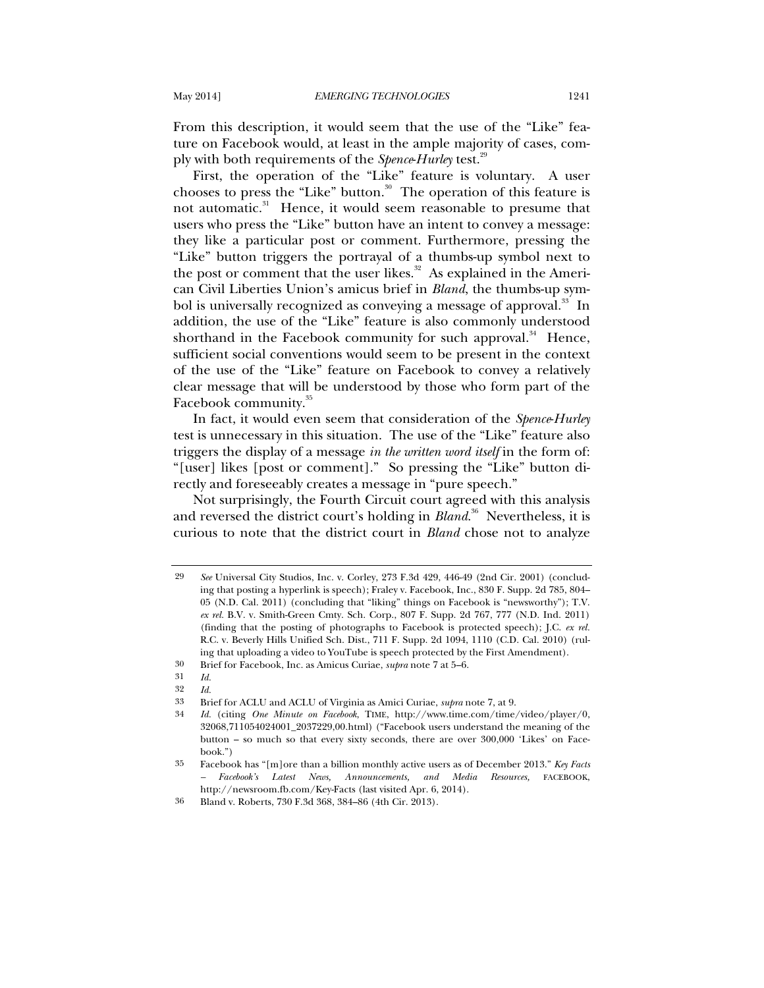From this description, it would seem that the use of the "Like" feature on Facebook would, at least in the ample majority of cases, comply with both requirements of the *Spence*-*Hurley* test.29

First, the operation of the "Like" feature is voluntary. A user chooses to press the "Like" button. $30$  The operation of this feature is not automatic.<sup>31</sup> Hence, it would seem reasonable to presume that users who press the "Like" button have an intent to convey a message: they like a particular post or comment. Furthermore, pressing the "Like" button triggers the portrayal of a thumbs-up symbol next to the post or comment that the user likes. $32$  As explained in the American Civil Liberties Union's amicus brief in *Bland*, the thumbs-up symbol is universally recognized as conveying a message of approval.<sup>33</sup> In addition, the use of the "Like" feature is also commonly understood shorthand in the Facebook community for such approval. $34$  Hence, sufficient social conventions would seem to be present in the context of the use of the "Like" feature on Facebook to convey a relatively clear message that will be understood by those who form part of the Facebook community.<sup>35</sup>

In fact, it would even seem that consideration of the *Spence*-*Hurley* test is unnecessary in this situation. The use of the "Like" feature also triggers the display of a message *in the written word itself* in the form of: "[user] likes [post or comment]." So pressing the "Like" button directly and foreseeably creates a message in "pure speech."

Not surprisingly, the Fourth Circuit court agreed with this analysis and reversed the district court's holding in *Bland*. 36 Nevertheless, it is curious to note that the district court in *Bland* chose not to analyze

<sup>29</sup> *See* Universal City Studios, Inc. v. Corley, 273 F.3d 429, 446-49 (2nd Cir. 2001) (concluding that posting a hyperlink is speech); Fraley v. Facebook, Inc., 830 F. Supp. 2d 785, 804– 05 (N.D. Cal. 2011) (concluding that "liking" things on Facebook is "newsworthy"); T.V. *ex rel.* B.V. v. Smith-Green Cmty. Sch. Corp., 807 F. Supp. 2d 767, 777 (N.D. Ind. 2011) (finding that the posting of photographs to Facebook is protected speech); J.C. *ex rel.*  R.C. v. Beverly Hills Unified Sch. Dist., 711 F. Supp. 2d 1094, 1110 (C.D. Cal. 2010) (ruling that uploading a video to YouTube is speech protected by the First Amendment).

<sup>30</sup> Brief for Facebook, Inc. as Amicus Curiae, *supra* note 7 at 5–6.

<sup>31</sup> *Id.*

<sup>32</sup> *Id.*

<sup>33</sup> Brief for ACLU and ACLU of Virginia as Amici Curiae, *supra* note 7, at 9.

<sup>34</sup> *Id.* (citing *One Minute on Facebook*, TIME, http://www.time.com/time/video/player/0, 32068,711054024001\_2037229,00.html) ("Facebook users understand the meaning of the button – so much so that every sixty seconds, there are over 300,000 'Likes' on Facebook." $\rangle$ 

<sup>35</sup> Facebook has "[m]ore than a billion monthly active users as of December 2013." *Key Facts – Facebook's Latest News, Announcements, and Media Resources,* FACEBOOK, http://newsroom.fb.com/Key-Facts (last visited Apr. 6, 2014).

<sup>36</sup> Bland v. Roberts, 730 F.3d 368, 384–86 (4th Cir. 2013).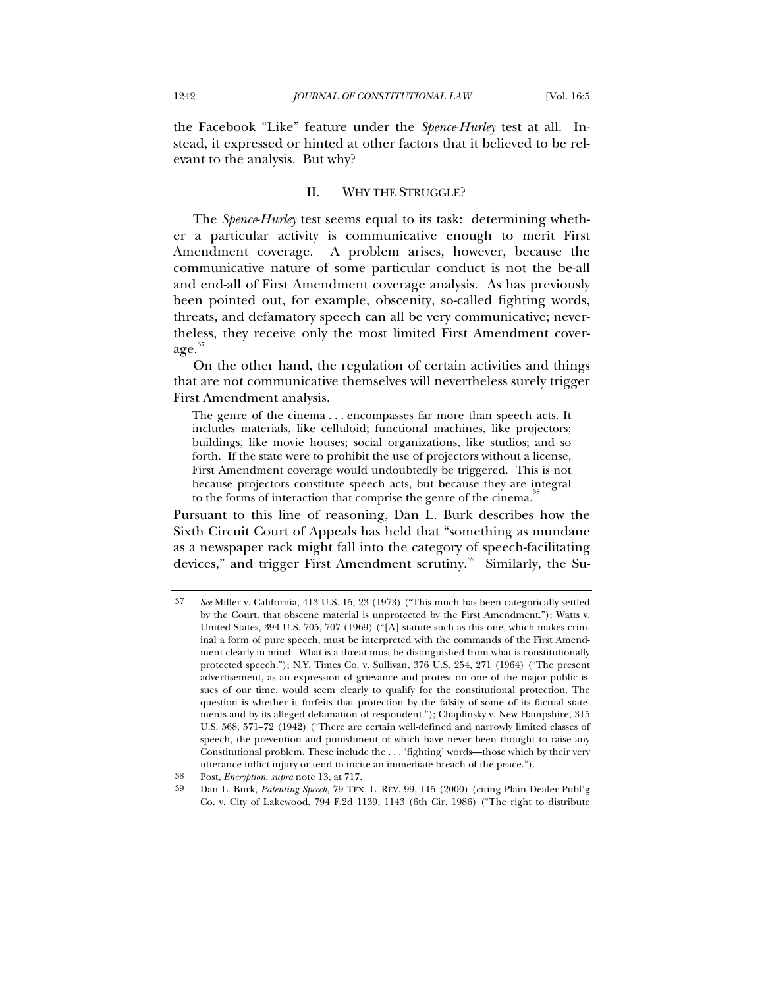the Facebook "Like" feature under the *Spence*-*Hurley* test at all. Instead, it expressed or hinted at other factors that it believed to be relevant to the analysis. But why?

## II. WHY THE STRUGGLE?

The *Spence*-*Hurley* test seems equal to its task: determining whether a particular activity is communicative enough to merit First Amendment coverage. A problem arises, however, because the communicative nature of some particular conduct is not the be-all and end-all of First Amendment coverage analysis. As has previously been pointed out, for example, obscenity, so-called fighting words, threats, and defamatory speech can all be very communicative; nevertheless, they receive only the most limited First Amendment cover- $\rm{age.}^{37}$ 

On the other hand, the regulation of certain activities and things that are not communicative themselves will nevertheless surely trigger First Amendment analysis.

The genre of the cinema . . . encompasses far more than speech acts. It includes materials, like celluloid; functional machines, like projectors; buildings, like movie houses; social organizations, like studios; and so forth. If the state were to prohibit the use of projectors without a license, First Amendment coverage would undoubtedly be triggered. This is not because projectors constitute speech acts, but because they are integral to the forms of interaction that comprise the genre of the cinema.<sup>3</sup>

Pursuant to this line of reasoning, Dan L. Burk describes how the Sixth Circuit Court of Appeals has held that "something as mundane as a newspaper rack might fall into the category of speech-facilitating devices," and trigger First Amendment scrutiny.<sup>39</sup> Similarly, the Su-

<sup>37</sup> *See* Miller v. California, 413 U.S. 15, 23 (1973) ("This much has been categorically settled by the Court, that obscene material is unprotected by the First Amendment."); Watts v. United States, 394 U.S. 705, 707 (1969) ("[A] statute such as this one, which makes criminal a form of pure speech, must be interpreted with the commands of the First Amendment clearly in mind. What is a threat must be distinguished from what is constitutionally protected speech."); N.Y. Times Co. v. Sullivan, 376 U.S. 254, 271 (1964) ("The present advertisement, as an expression of grievance and protest on one of the major public issues of our time, would seem clearly to qualify for the constitutional protection. The question is whether it forfeits that protection by the falsity of some of its factual statements and by its alleged defamation of respondent."); Chaplinsky v. New Hampshire, 315 U.S. 568, 571–72 (1942) ("There are certain well-defined and narrowly limited classes of speech, the prevention and punishment of which have never been thought to raise any Constitutional problem. These include the . . . 'fighting' words—those which by their very utterance inflict injury or tend to incite an immediate breach of the peace.").

<sup>38</sup> Post, *Encryption*, *supra* note 13, at 717.

<sup>39</sup> Dan L. Burk, *Patenting Speech*, 79 TEX. L. REV. 99, 115 (2000) (citing Plain Dealer Publ'g Co. v. City of Lakewood, 794 F.2d 1139, 1143 (6th Cir. 1986) ("The right to distribute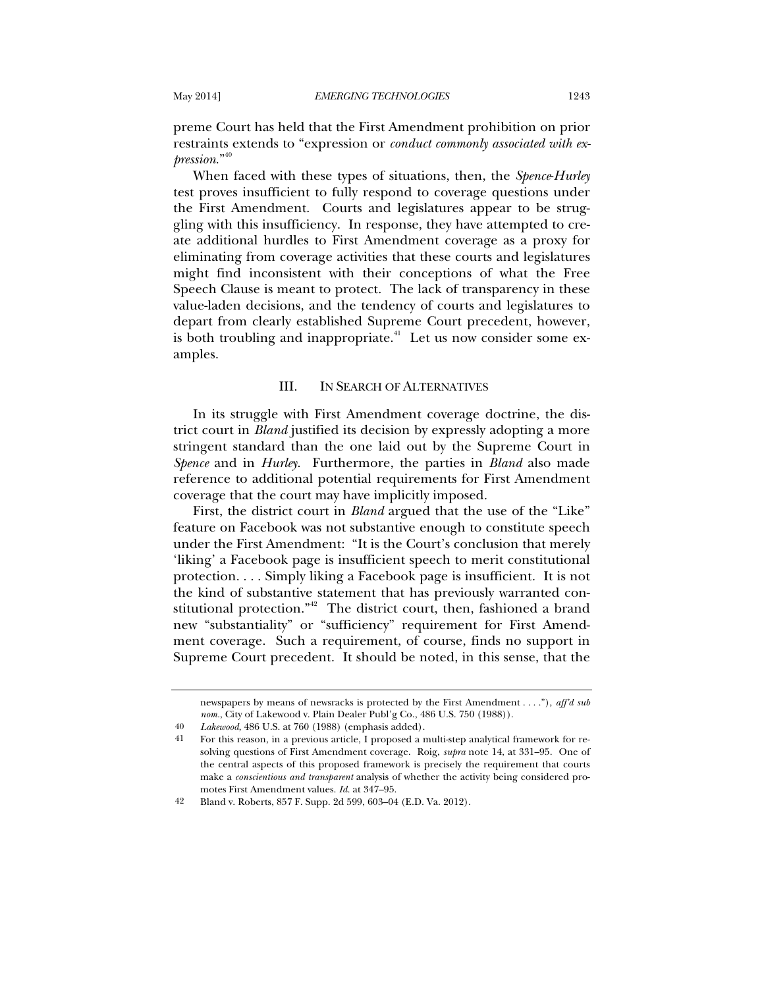preme Court has held that the First Amendment prohibition on prior restraints extends to "expression or *conduct commonly associated with expression*."<sup>40</sup>

When faced with these types of situations, then, the *Spence*-*Hurley* test proves insufficient to fully respond to coverage questions under the First Amendment. Courts and legislatures appear to be struggling with this insufficiency. In response, they have attempted to create additional hurdles to First Amendment coverage as a proxy for eliminating from coverage activities that these courts and legislatures might find inconsistent with their conceptions of what the Free Speech Clause is meant to protect. The lack of transparency in these value-laden decisions, and the tendency of courts and legislatures to depart from clearly established Supreme Court precedent, however, is both troubling and inappropriate.<sup> $41$ </sup> Let us now consider some examples.

### III. IN SEARCH OF ALTERNATIVES

In its struggle with First Amendment coverage doctrine, the district court in *Bland* justified its decision by expressly adopting a more stringent standard than the one laid out by the Supreme Court in *Spence* and in *Hurley*. Furthermore, the parties in *Bland* also made reference to additional potential requirements for First Amendment coverage that the court may have implicitly imposed.

First, the district court in *Bland* argued that the use of the "Like" feature on Facebook was not substantive enough to constitute speech under the First Amendment: "It is the Court's conclusion that merely 'liking' a Facebook page is insufficient speech to merit constitutional protection. . . . Simply liking a Facebook page is insufficient. It is not the kind of substantive statement that has previously warranted constitutional protection."<sup>42</sup> The district court, then, fashioned a brand new "substantiality" or "sufficiency" requirement for First Amendment coverage. Such a requirement, of course, finds no support in Supreme Court precedent. It should be noted, in this sense, that the

newspapers by means of newsracks is protected by the First Amendment . . . ."), *aff'd sub nom.*, City of Lakewood v. Plain Dealer Publ'g Co., 486 U.S. 750 (1988)).

<sup>40</sup> *Lakewood*, 486 U.S. at 760 (1988) (emphasis added).

<sup>41</sup> For this reason, in a previous article, I proposed a multi-step analytical framework for resolving questions of First Amendment coverage. Roig, *supra* note 14, at 331–95. One of the central aspects of this proposed framework is precisely the requirement that courts make a *conscientious and transparent* analysis of whether the activity being considered promotes First Amendment values. *Id.* at 347–95.

<sup>42</sup> Bland v. Roberts, 857 F. Supp. 2d 599, 603–04 (E.D. Va. 2012).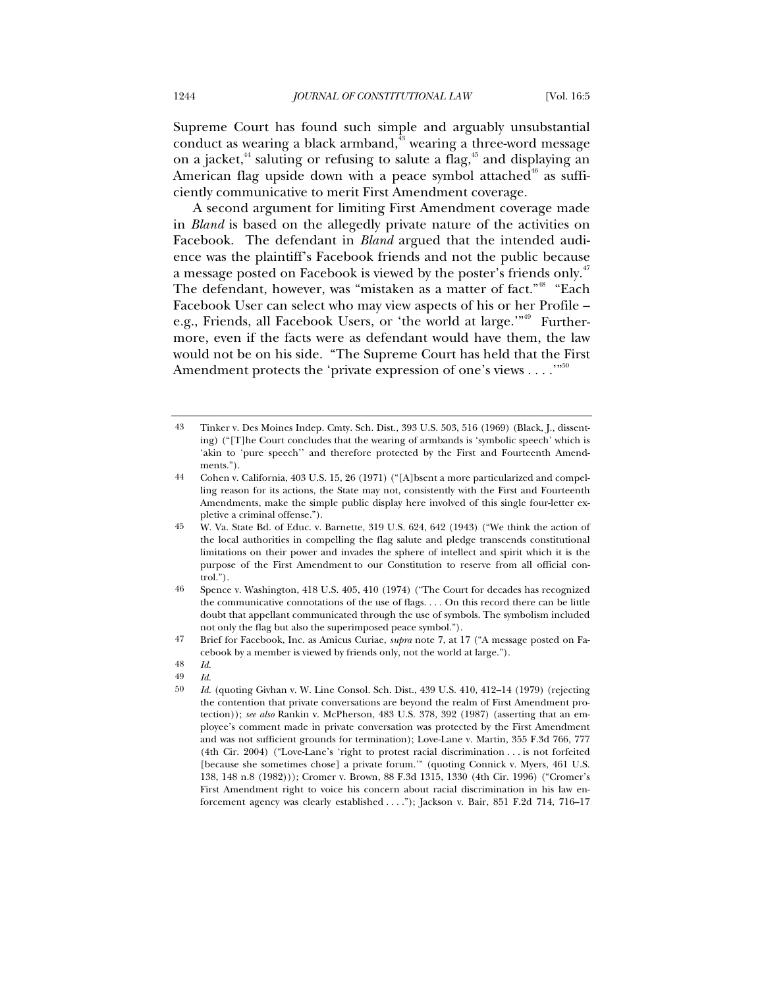Supreme Court has found such simple and arguably unsubstantial conduct as wearing a black armband, $\frac{3}{4}$  wearing a three-word message on a jacket,<sup>44</sup> saluting or refusing to salute a flag,<sup>45</sup> and displaying an American flag upside down with a peace symbol attached<sup>46</sup> as sufficiently communicative to merit First Amendment coverage.

A second argument for limiting First Amendment coverage made in *Bland* is based on the allegedly private nature of the activities on Facebook. The defendant in *Bland* argued that the intended audience was the plaintiff's Facebook friends and not the public because a message posted on Facebook is viewed by the poster's friends only.<sup>47</sup> The defendant, however, was "mistaken as a matter of fact."<sup>48</sup> "Each Facebook User can select who may view aspects of his or her Profile – e.g., Friends, all Facebook Users, or 'the world at large.'"<sup>49</sup> Furthermore, even if the facts were as defendant would have them, the law would not be on his side. "The Supreme Court has held that the First Amendment protects the 'private expression of one's views  $\dots$ ."<sup>50</sup>

49 *Id.*

<sup>43</sup> Tinker v. Des Moines Indep. Cmty. Sch. Dist., 393 U.S. 503, 516 (1969) (Black, J., dissenting) ("[T]he Court concludes that the wearing of armbands is 'symbolic speech' which is 'akin to 'pure speech'' and therefore protected by the First and Fourteenth Amendments.").

<sup>44</sup> Cohen v. California, 403 U.S. 15, 26 (1971) ("[A]bsent a more particularized and compelling reason for its actions, the State may not, consistently with the First and Fourteenth Amendments, make the simple public display here involved of this single four-letter expletive a criminal offense.").

<sup>45</sup> W. Va. State Bd. of Educ. v. Barnette, 319 U.S. 624, 642 (1943) ("We think the action of the local authorities in compelling the flag salute and pledge transcends constitutional limitations on their power and invades the sphere of intellect and spirit which it is the purpose of the First Amendment to our Constitution to reserve from all official control.").

<sup>46</sup> Spence v. Washington, 418 U.S. 405, 410 (1974) ("The Court for decades has recognized the communicative connotations of the use of flags. . . . On this record there can be little doubt that appellant communicated through the use of symbols. The symbolism included not only the flag but also the superimposed peace symbol.").

<sup>47</sup> Brief for Facebook, Inc. as Amicus Curiae, *supra* note 7, at 17 ("A message posted on Facebook by a member is viewed by friends only, not the world at large.").

<sup>48</sup> *Id.*

<sup>50</sup> *Id.* (quoting Givhan v. W. Line Consol. Sch. Dist., 439 U.S. 410, 412–14 (1979) (rejecting the contention that private conversations are beyond the realm of First Amendment protection)); *see also* Rankin v. McPherson, 483 U.S. 378, 392 (1987) (asserting that an employee's comment made in private conversation was protected by the First Amendment and was not sufficient grounds for termination); Love-Lane v. Martin, 355 F.3d 766, 777 (4th Cir. 2004) ("Love-Lane's 'right to protest racial discrimination . . . is not forfeited [because she sometimes chose] a private forum.'" (quoting Connick v. Myers, 461 U.S. 138, 148 n.8 (1982))); Cromer v. Brown, 88 F.3d 1315, 1330 (4th Cir. 1996) ("Cromer's First Amendment right to voice his concern about racial discrimination in his law enforcement agency was clearly established . . . ."); Jackson v. Bair, 851 F.2d 714, 716–17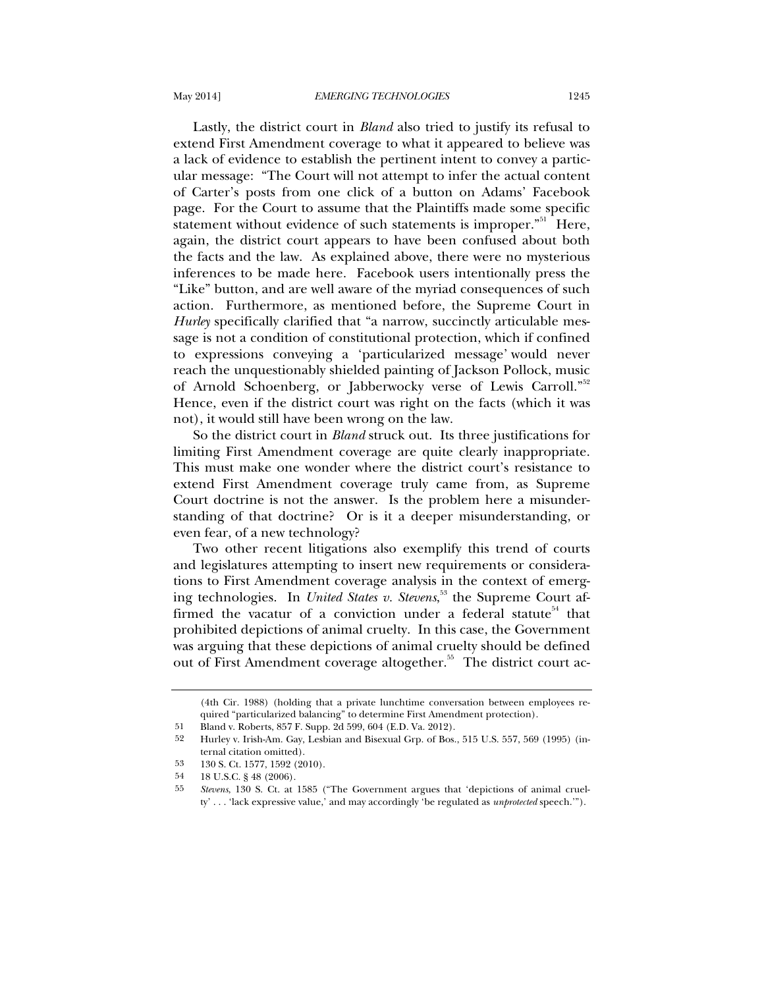Lastly, the district court in *Bland* also tried to justify its refusal to extend First Amendment coverage to what it appeared to believe was a lack of evidence to establish the pertinent intent to convey a particular message: "The Court will not attempt to infer the actual content of Carter's posts from one click of a button on Adams' Facebook page. For the Court to assume that the Plaintiffs made some specific statement without evidence of such statements is improper.<sup>"51</sup> Here, again, the district court appears to have been confused about both the facts and the law. As explained above, there were no mysterious inferences to be made here. Facebook users intentionally press the "Like" button, and are well aware of the myriad consequences of such action. Furthermore, as mentioned before, the Supreme Court in *Hurley* specifically clarified that "a narrow, succinctly articulable message is not a condition of constitutional protection, which if confined to expressions conveying a 'particularized message' would never reach the unquestionably shielded painting of Jackson Pollock, music of Arnold Schoenberg, or Jabberwocky verse of Lewis Carroll."<sup>52</sup> Hence, even if the district court was right on the facts (which it was not), it would still have been wrong on the law.

So the district court in *Bland* struck out. Its three justifications for limiting First Amendment coverage are quite clearly inappropriate. This must make one wonder where the district court's resistance to extend First Amendment coverage truly came from, as Supreme Court doctrine is not the answer. Is the problem here a misunderstanding of that doctrine? Or is it a deeper misunderstanding, or even fear, of a new technology?

Two other recent litigations also exemplify this trend of courts and legislatures attempting to insert new requirements or considerations to First Amendment coverage analysis in the context of emerging technologies. In *United States v. Stevens*, 53 the Supreme Court affirmed the vacatur of a conviction under a federal statute<sup>54</sup> that prohibited depictions of animal cruelty. In this case, the Government was arguing that these depictions of animal cruelty should be defined out of First Amendment coverage altogether.<sup>55</sup> The district court ac-

<sup>(4</sup>th Cir. 1988) (holding that a private lunchtime conversation between employees required "particularized balancing" to determine First Amendment protection).

<sup>51</sup> Bland v. Roberts, 857 F. Supp. 2d 599, 604 (E.D. Va. 2012).

<sup>52</sup> Hurley v. Irish-Am. Gay, Lesbian and Bisexual Grp. of Bos., 515 U.S. 557, 569 (1995) (internal citation omitted).

<sup>53 130</sup> S. Ct. 1577, 1592 (2010).

<sup>54 18</sup> U.S.C. § 48 (2006).

<sup>55</sup> *Stevens*, 130 S. Ct. at 1585 ("The Government argues that 'depictions of animal cruelty' . . . 'lack expressive value,' and may accordingly 'be regulated as *unprotected* speech.'").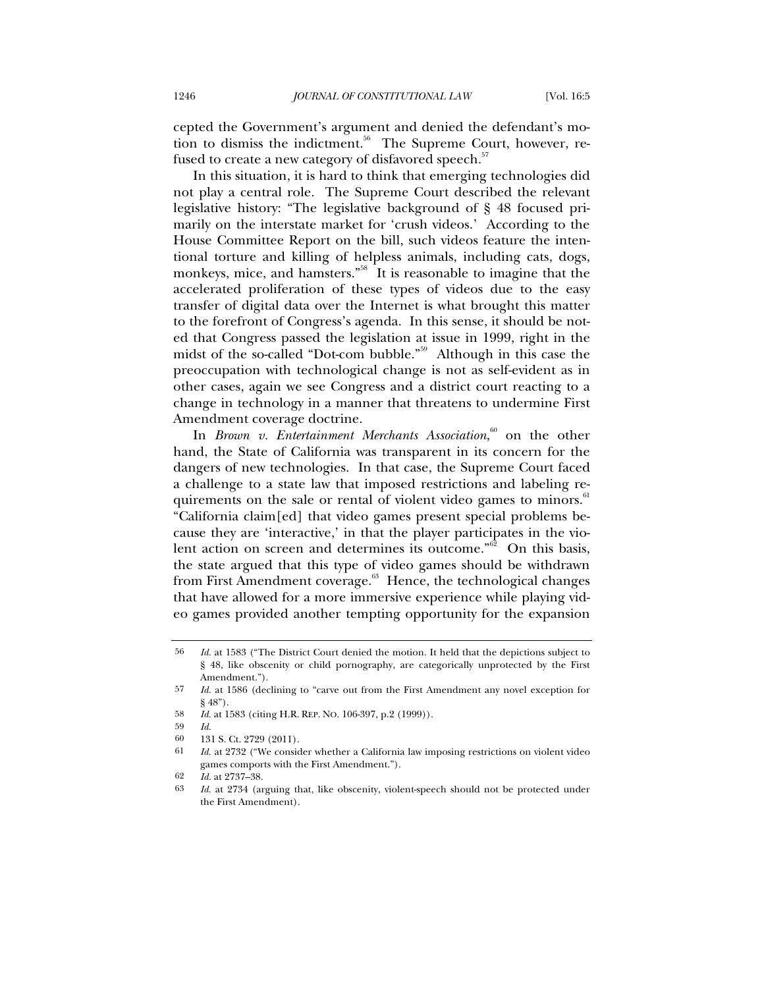cepted the Government's argument and denied the defendant's motion to dismiss the indictment.<sup>56</sup> The Supreme Court, however, refused to create a new category of disfavored speech.<sup>57</sup>

In this situation, it is hard to think that emerging technologies did not play a central role. The Supreme Court described the relevant legislative history: "The legislative background of § 48 focused primarily on the interstate market for 'crush videos.' According to the House Committee Report on the bill, such videos feature the intentional torture and killing of helpless animals, including cats, dogs, monkeys, mice, and hamsters.<sup>358</sup> It is reasonable to imagine that the accelerated proliferation of these types of videos due to the easy transfer of digital data over the Internet is what brought this matter to the forefront of Congress's agenda. In this sense, it should be noted that Congress passed the legislation at issue in 1999, right in the midst of the so-called "Dot-com bubble."59 Although in this case the preoccupation with technological change is not as self-evident as in other cases, again we see Congress and a district court reacting to a change in technology in a manner that threatens to undermine First Amendment coverage doctrine.

In *Brown v. Entertainment Merchants Association*,<sup>60</sup> on the other hand, the State of California was transparent in its concern for the dangers of new technologies. In that case, the Supreme Court faced a challenge to a state law that imposed restrictions and labeling requirements on the sale or rental of violent video games to minors.<sup>61</sup> "California claim[ed] that video games present special problems because they are 'interactive,' in that the player participates in the violent action on screen and determines its outcome." $\overline{62}$  On this basis, the state argued that this type of video games should be withdrawn from First Amendment coverage.<sup>63</sup> Hence, the technological changes that have allowed for a more immersive experience while playing video games provided another tempting opportunity for the expansion

59 *Id.*

<sup>56</sup> *Id.* at 1583 ("The District Court denied the motion. It held that the depictions subject to § 48, like obscenity or child pornography, are categorically unprotected by the First Amendment.").

<sup>57</sup> *Id.* at 1586 (declining to "carve out from the First Amendment any novel exception for § 48").

<sup>58</sup> *Id.* at 1583 (citing H.R. REP. NO. 106-397, p.2 (1999)).

<sup>60 131</sup> S. Ct. 2729 (2011).<br>61 *Id.* at 2739 ("We conside

<sup>61</sup> *Id.* at 2732 ("We consider whether a California law imposing restrictions on violent video games comports with the First Amendment.").

<sup>62</sup> *Id.* at 2737–38.

<sup>63</sup> *Id.* at 2734 (arguing that, like obscenity, violent-speech should not be protected under the First Amendment).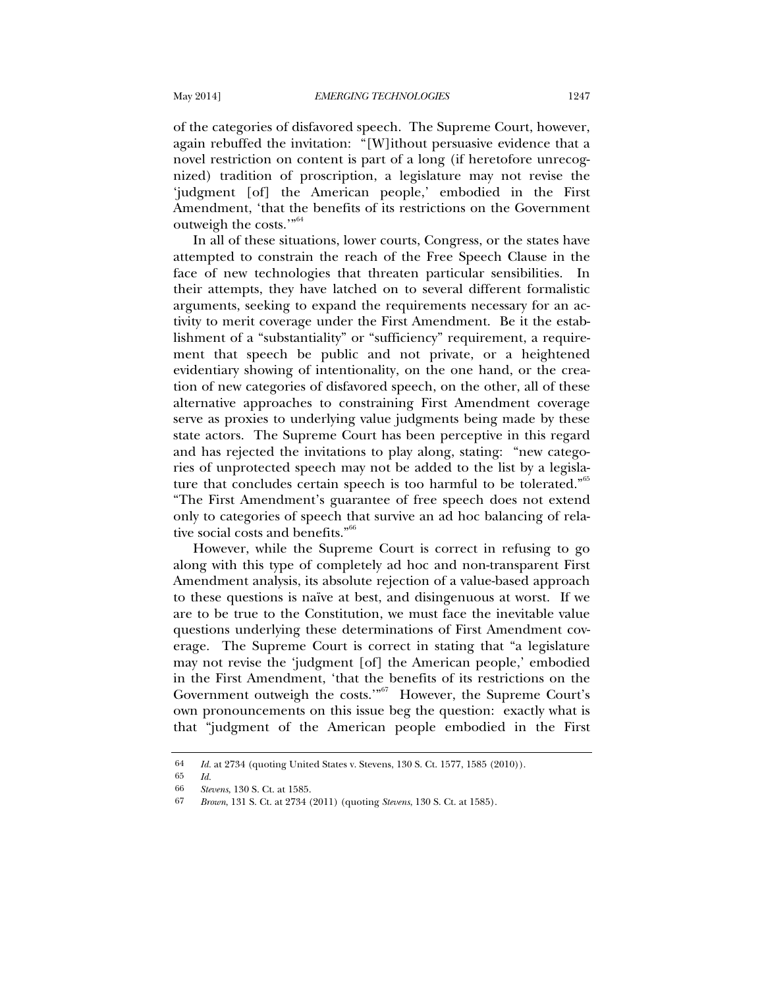of the categories of disfavored speech. The Supreme Court, however, again rebuffed the invitation: "[W]ithout persuasive evidence that a novel restriction on content is part of a long (if heretofore unrecognized) tradition of proscription, a legislature may not revise the 'judgment [of] the American people,' embodied in the First Amendment, 'that the benefits of its restrictions on the Government outweigh the costs."<sup>64</sup>

In all of these situations, lower courts, Congress, or the states have attempted to constrain the reach of the Free Speech Clause in the face of new technologies that threaten particular sensibilities. In their attempts, they have latched on to several different formalistic arguments, seeking to expand the requirements necessary for an activity to merit coverage under the First Amendment. Be it the establishment of a "substantiality" or "sufficiency" requirement, a requirement that speech be public and not private, or a heightened evidentiary showing of intentionality, on the one hand, or the creation of new categories of disfavored speech, on the other, all of these alternative approaches to constraining First Amendment coverage serve as proxies to underlying value judgments being made by these state actors. The Supreme Court has been perceptive in this regard and has rejected the invitations to play along, stating: "new categories of unprotected speech may not be added to the list by a legislature that concludes certain speech is too harmful to be tolerated."<sup>65</sup> "The First Amendment's guarantee of free speech does not extend only to categories of speech that survive an ad hoc balancing of relative social costs and benefits."<sup>66</sup>

However, while the Supreme Court is correct in refusing to go along with this type of completely ad hoc and non-transparent First Amendment analysis, its absolute rejection of a value-based approach to these questions is naïve at best, and disingenuous at worst. If we are to be true to the Constitution, we must face the inevitable value questions underlying these determinations of First Amendment coverage. The Supreme Court is correct in stating that "a legislature may not revise the 'judgment [of] the American people,' embodied in the First Amendment, 'that the benefits of its restrictions on the Government outweigh the costs."<sup>67</sup> However, the Supreme Court's own pronouncements on this issue beg the question: exactly what is that "judgment of the American people embodied in the First

<sup>64</sup> *Id.* at 2734 (quoting United States v. Stevens, 130 S. Ct. 1577, 1585 (2010)).

 $\begin{array}{cc} 65 & Id. \\ 66 & \text{St} \end{array}$ 

<sup>66</sup> *Stevens*, 130 S. Ct. at 1585.

<sup>67</sup> *Brown*, 131 S. Ct. at 2734 (2011) (quoting *Stevens*, 130 S. Ct. at 1585).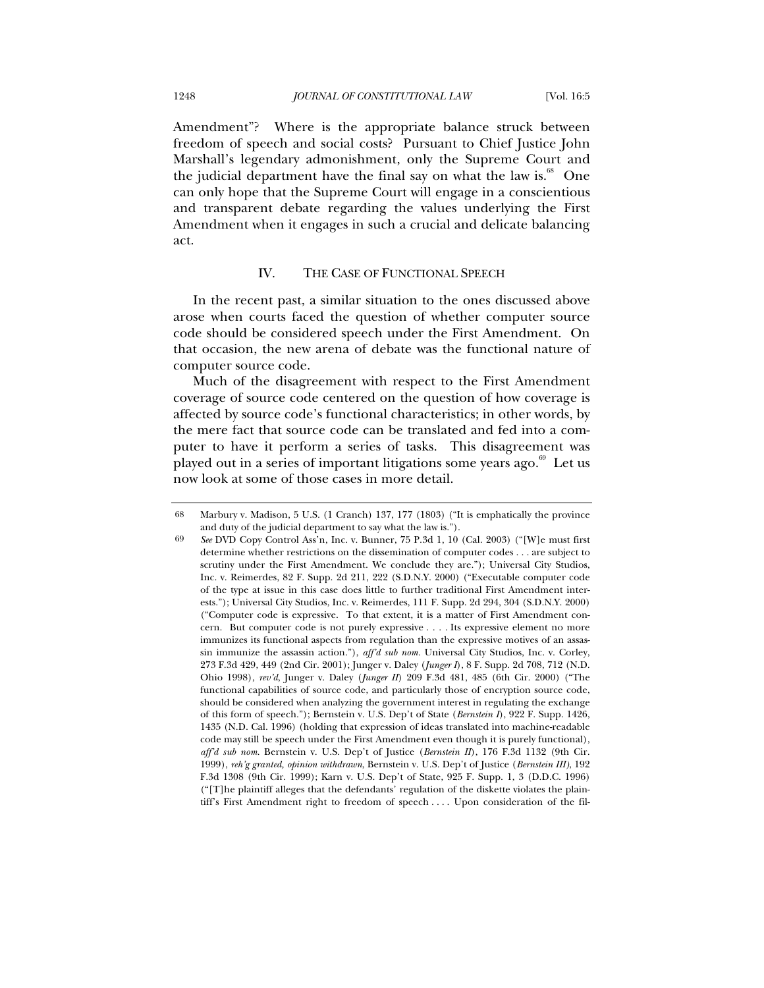Amendment"? Where is the appropriate balance struck between freedom of speech and social costs? Pursuant to Chief Justice John Marshall's legendary admonishment, only the Supreme Court and the judicial department have the final say on what the law is.<sup>68</sup> One can only hope that the Supreme Court will engage in a conscientious and transparent debate regarding the values underlying the First Amendment when it engages in such a crucial and delicate balancing act.

## IV. THE CASE OF FUNCTIONAL SPEECH

In the recent past, a similar situation to the ones discussed above arose when courts faced the question of whether computer source code should be considered speech under the First Amendment. On that occasion, the new arena of debate was the functional nature of computer source code.

Much of the disagreement with respect to the First Amendment coverage of source code centered on the question of how coverage is affected by source code's functional characteristics; in other words, by the mere fact that source code can be translated and fed into a computer to have it perform a series of tasks. This disagreement was played out in a series of important litigations some years ago. $69$  Let us now look at some of those cases in more detail.

<sup>68</sup> Marbury v. Madison, 5 U.S. (1 Cranch) 137, 177 (1803) ("It is emphatically the province and duty of the judicial department to say what the law is.").

<sup>69</sup> *See* DVD Copy Control Ass'n, Inc. v. Bunner, 75 P.3d 1, 10 (Cal. 2003) ("[W]e must first determine whether restrictions on the dissemination of computer codes . . . are subject to scrutiny under the First Amendment. We conclude they are."); Universal City Studios, Inc. v. Reimerdes, 82 F. Supp. 2d 211, 222 (S.D.N.Y. 2000) ("Executable computer code of the type at issue in this case does little to further traditional First Amendment interests."); Universal City Studios, Inc. v. Reimerdes, 111 F. Supp. 2d 294, 304 (S.D.N.Y. 2000) ("Computer code is expressive. To that extent, it is a matter of First Amendment concern. But computer code is not purely expressive . . . . Its expressive element no more immunizes its functional aspects from regulation than the expressive motives of an assassin immunize the assassin action."), *aff'd sub nom.* Universal City Studios, Inc. v. Corley, 273 F.3d 429, 449 (2nd Cir. 2001); Junger v. Daley (*Junger I*), 8 F. Supp. 2d 708, 712 (N.D. Ohio 1998), *rev'd*, Junger v. Daley (*Junger II*) 209 F.3d 481, 485 (6th Cir. 2000) ("The functional capabilities of source code, and particularly those of encryption source code, should be considered when analyzing the government interest in regulating the exchange of this form of speech."); Bernstein v. U.S. Dep't of State (*Bernstein I*), 922 F. Supp. 1426, 1435 (N.D. Cal. 1996) (holding that expression of ideas translated into machine-readable code may still be speech under the First Amendment even though it is purely functional), *aff'd sub nom.* Bernstein v. U.S. Dep't of Justice (*Bernstein II*), 176 F.3d 1132 (9th Cir. 1999), *reh'g granted, opinion withdrawn*, Bernstein v. U.S. Dep't of Justice (*Bernstein III)*, 192 F.3d 1308 (9th Cir. 1999); Karn v. U.S. Dep't of State, 925 F. Supp. 1, 3 (D.D.C. 1996) ("[T]he plaintiff alleges that the defendants' regulation of the diskette violates the plaintiff's First Amendment right to freedom of speech . . . . Upon consideration of the fil-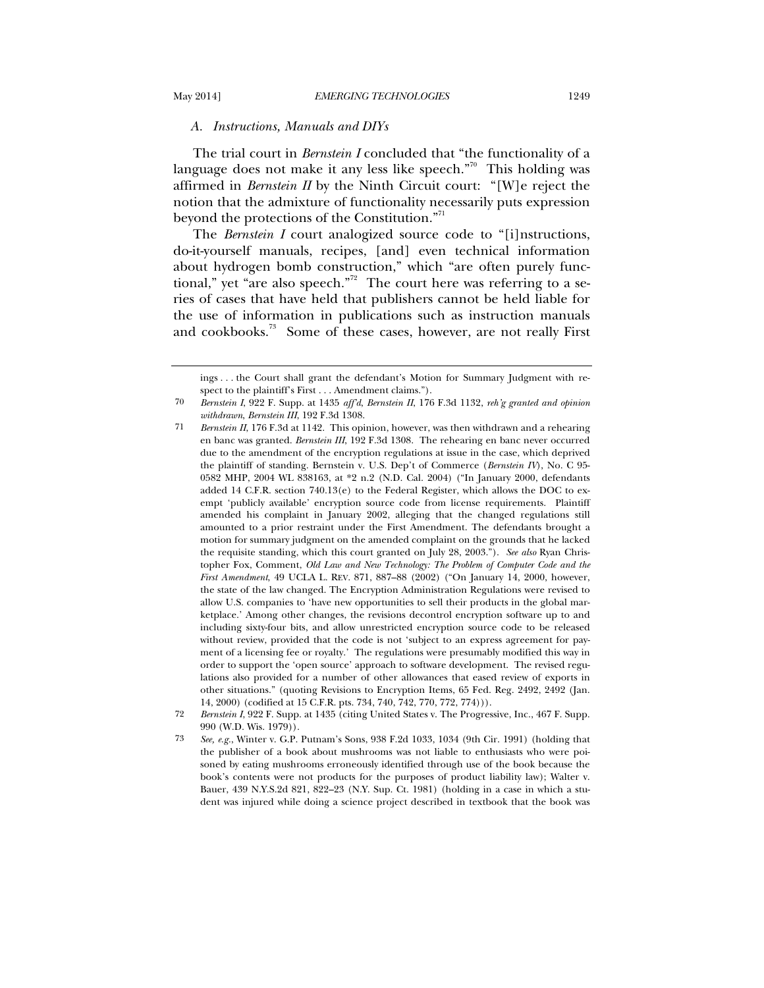### *A. Instructions, Manuals and DIYs*

The trial court in *Bernstein I* concluded that "the functionality of a language does not make it any less like speech."<sup>70</sup> This holding was affirmed in *Bernstein II* by the Ninth Circuit court: "[W]e reject the notion that the admixture of functionality necessarily puts expression beyond the protections of the Constitution."<sup>71</sup>

The *Bernstein I* court analogized source code to "[i]nstructions, do-it-yourself manuals, recipes, [and] even technical information about hydrogen bomb construction," which "are often purely functional," yet "are also speech."<sup>72</sup> The court here was referring to a series of cases that have held that publishers cannot be held liable for the use of information in publications such as instruction manuals and cookbooks.<sup>73</sup> Some of these cases, however, are not really First

72 *Bernstein I*, 922 F. Supp. at 1435 (citing United States v. The Progressive, Inc., 467 F. Supp. 990 (W.D. Wis. 1979)).

ings . . . the Court shall grant the defendant's Motion for Summary Judgment with respect to the plaintiff's First . . . Amendment claims.").

<sup>70</sup> *Bernstein I*, 922 F. Supp. at 1435 *aff'd*, *Bernstein II*, 176 F.3d 1132, *reh'g granted and opinion withdrawn*, *Bernstein III*, 192 F.3d 1308.

<sup>71</sup> *Bernstein II*, 176 F.3d at 1142. This opinion, however, was then withdrawn and a rehearing en banc was granted. *Bernstein III*, 192 F.3d 1308. The rehearing en banc never occurred due to the amendment of the encryption regulations at issue in the case, which deprived the plaintiff of standing. Bernstein v. U.S. Dep't of Commerce (*Bernstein IV*), No. C 95- 0582 MHP, 2004 WL 838163, at \*2 n.2 (N.D. Cal. 2004) ("In January 2000, defendants added 14 C.F.R. section 740.13(e) to the Federal Register, which allows the DOC to exempt 'publicly available' encryption source code from license requirements. Plaintiff amended his complaint in January 2002, alleging that the changed regulations still amounted to a prior restraint under the First Amendment. The defendants brought a motion for summary judgment on the amended complaint on the grounds that he lacked the requisite standing, which this court granted on July 28, 2003."). *See also* Ryan Christopher Fox, Comment, *Old Law and New Technology: The Problem of Computer Code and the First Amendment*, 49 UCLA L. REV. 871, 887–88 (2002) ("On January 14, 2000, however, the state of the law changed. The Encryption Administration Regulations were revised to allow U.S. companies to 'have new opportunities to sell their products in the global marketplace.' Among other changes, the revisions decontrol encryption software up to and including sixty-four bits, and allow unrestricted encryption source code to be released without review, provided that the code is not 'subject to an express agreement for payment of a licensing fee or royalty.' The regulations were presumably modified this way in order to support the 'open source' approach to software development. The revised regulations also provided for a number of other allowances that eased review of exports in other situations." (quoting Revisions to Encryption Items, 65 Fed. Reg. 2492, 2492 (Jan. 14, 2000) (codified at 15 C.F.R. pts. 734, 740, 742, 770, 772, 774))).

<sup>73</sup> *See, e.g.*, Winter v. G.P. Putnam's Sons, 938 F.2d 1033, 1034 (9th Cir. 1991) (holding that the publisher of a book about mushrooms was not liable to enthusiasts who were poisoned by eating mushrooms erroneously identified through use of the book because the book's contents were not products for the purposes of product liability law); Walter v. Bauer, 439 N.Y.S.2d 821, 822–23 (N.Y. Sup. Ct. 1981) (holding in a case in which a student was injured while doing a science project described in textbook that the book was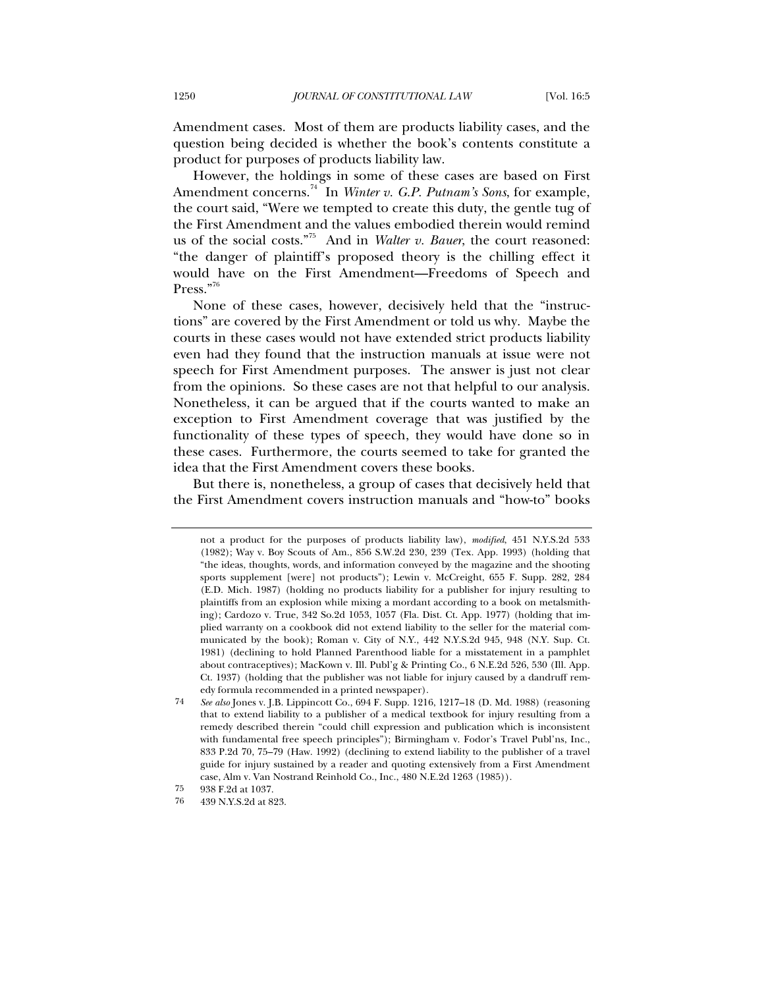Amendment cases. Most of them are products liability cases, and the question being decided is whether the book's contents constitute a product for purposes of products liability law.

However, the holdings in some of these cases are based on First Amendment concerns.<sup>74</sup> In *Winter v. G.P. Putnam's Sons*, for example, the court said, "Were we tempted to create this duty, the gentle tug of the First Amendment and the values embodied therein would remind us of the social costs."75 And in *Walter v. Bauer*, the court reasoned: "the danger of plaintiff's proposed theory is the chilling effect it would have on the First Amendment—Freedoms of Speech and Press."76

None of these cases, however, decisively held that the "instructions" are covered by the First Amendment or told us why. Maybe the courts in these cases would not have extended strict products liability even had they found that the instruction manuals at issue were not speech for First Amendment purposes. The answer is just not clear from the opinions. So these cases are not that helpful to our analysis. Nonetheless, it can be argued that if the courts wanted to make an exception to First Amendment coverage that was justified by the functionality of these types of speech, they would have done so in these cases. Furthermore, the courts seemed to take for granted the idea that the First Amendment covers these books.

But there is, nonetheless, a group of cases that decisively held that the First Amendment covers instruction manuals and "how-to" books

not a product for the purposes of products liability law), *modified*, 451 N.Y.S.2d 533 (1982); Way v. Boy Scouts of Am., 856 S.W.2d 230, 239 (Tex. App. 1993) (holding that "the ideas, thoughts, words, and information conveyed by the magazine and the shooting sports supplement [were] not products"); Lewin v. McCreight, 655 F. Supp. 282, 284 (E.D. Mich. 1987) (holding no products liability for a publisher for injury resulting to plaintiffs from an explosion while mixing a mordant according to a book on metalsmithing); Cardozo v. True, 342 So.2d 1053, 1057 (Fla. Dist. Ct. App. 1977) (holding that implied warranty on a cookbook did not extend liability to the seller for the material communicated by the book); Roman v. City of N.Y., 442 N.Y.S.2d 945, 948 (N.Y. Sup. Ct. 1981) (declining to hold Planned Parenthood liable for a misstatement in a pamphlet about contraceptives); MacKown v. Ill. Publ'g & Printing Co., 6 N.E.2d 526, 530 (Ill. App. Ct. 1937) (holding that the publisher was not liable for injury caused by a dandruff remedy formula recommended in a printed newspaper).

<sup>74</sup> *See also* Jones v. J.B. Lippincott Co., 694 F. Supp. 1216, 1217–18 (D. Md. 1988) (reasoning that to extend liability to a publisher of a medical textbook for injury resulting from a remedy described therein "could chill expression and publication which is inconsistent with fundamental free speech principles"); Birmingham v. Fodor's Travel Publ'ns, Inc., 833 P.2d 70, 75–79 (Haw. 1992) (declining to extend liability to the publisher of a travel guide for injury sustained by a reader and quoting extensively from a First Amendment case, Alm v. Van Nostrand Reinhold Co., Inc., 480 N.E.2d 1263 (1985)).

<sup>75 938</sup> F.2d at 1037.<br>76 439 N Y S 2d at 8

<sup>439</sup> N.Y.S.2d at 823.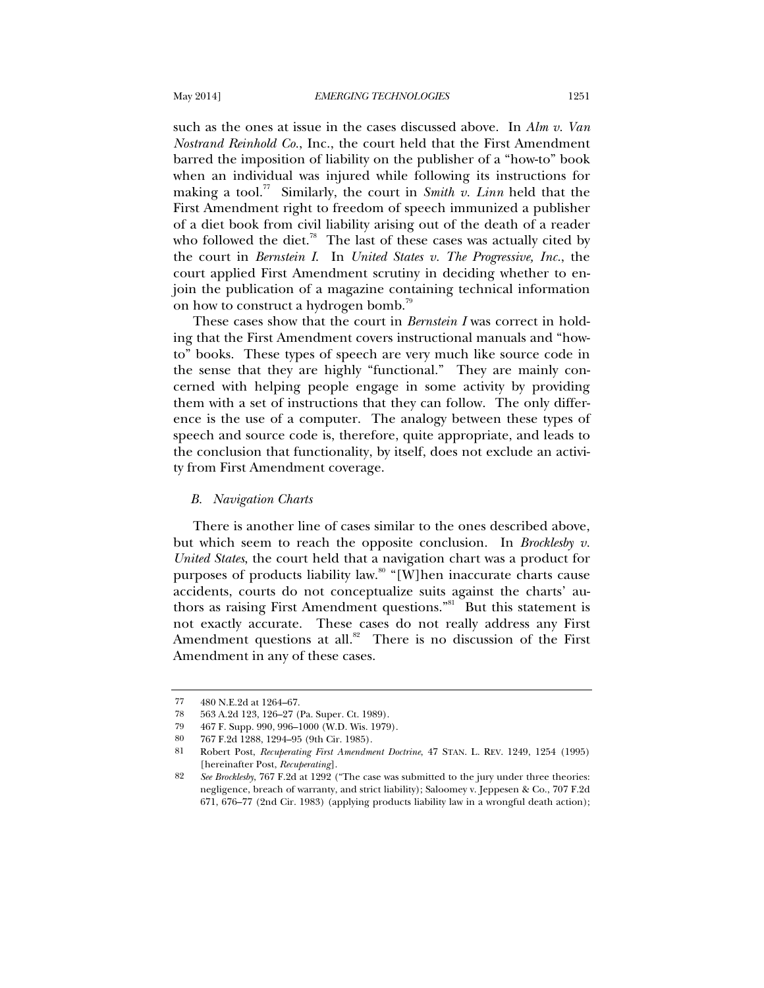such as the ones at issue in the cases discussed above. In *Alm v. Van Nostrand Reinhold Co.*, Inc., the court held that the First Amendment barred the imposition of liability on the publisher of a "how-to" book when an individual was injured while following its instructions for making a tool.<sup>77</sup> Similarly, the court in *Smith v. Linn* held that the First Amendment right to freedom of speech immunized a publisher of a diet book from civil liability arising out of the death of a reader who followed the diet.<sup>78</sup> The last of these cases was actually cited by the court in *Bernstein I*. In *United States v. The Progressive, Inc.*, the court applied First Amendment scrutiny in deciding whether to enjoin the publication of a magazine containing technical information on how to construct a hydrogen bomb.<sup>79</sup>

These cases show that the court in *Bernstein I* was correct in holding that the First Amendment covers instructional manuals and "howto" books. These types of speech are very much like source code in the sense that they are highly "functional." They are mainly concerned with helping people engage in some activity by providing them with a set of instructions that they can follow. The only difference is the use of a computer. The analogy between these types of speech and source code is, therefore, quite appropriate, and leads to the conclusion that functionality, by itself, does not exclude an activity from First Amendment coverage.

#### *B. Navigation Charts*

There is another line of cases similar to the ones described above, but which seem to reach the opposite conclusion. In *Brocklesby v. United States*, the court held that a navigation chart was a product for purposes of products liability law. $\degree$  "[W]hen inaccurate charts cause accidents, courts do not conceptualize suits against the charts' authors as raising First Amendment questions."<sup>81</sup> But this statement is not exactly accurate. These cases do not really address any First Amendment questions at all.<sup>82</sup> There is no discussion of the First Amendment in any of these cases.

<sup>77 480</sup> N.E.2d at 1264–67.

<sup>78 563</sup> A.2d 123, 126–27 (Pa. Super. Ct. 1989).

<sup>79 467</sup> F. Supp. 990, 996–1000 (W.D. Wis. 1979).

<sup>80 767</sup> F.2d 1288, 1294–95 (9th Cir. 1985).

<sup>81</sup> Robert Post, *Recuperating First Amendment Doctrine*, 47 STAN. L. REV. 1249, 1254 (1995) [hereinafter Post, *Recuperating*].

<sup>82</sup> *See Brocklesby*, 767 F.2d at 1292 ("The case was submitted to the jury under three theories: negligence, breach of warranty, and strict liability); Saloomey v. Jeppesen & Co., 707 F.2d 671, 676–77 (2nd Cir. 1983) (applying products liability law in a wrongful death action);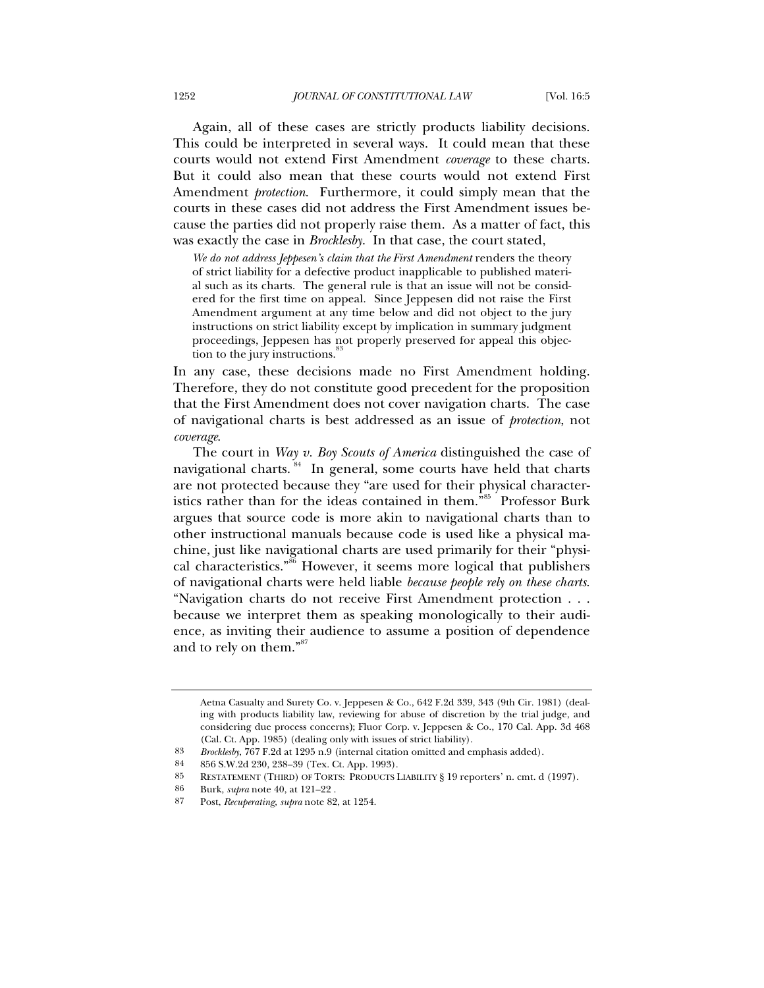Again, all of these cases are strictly products liability decisions. This could be interpreted in several ways. It could mean that these courts would not extend First Amendment *coverage* to these charts. But it could also mean that these courts would not extend First Amendment *protection*. Furthermore, it could simply mean that the courts in these cases did not address the First Amendment issues because the parties did not properly raise them. As a matter of fact, this was exactly the case in *Brocklesby*. In that case, the court stated,

We do not address Jeppesen's claim that the First Amendment renders the theory of strict liability for a defective product inapplicable to published material such as its charts. The general rule is that an issue will not be considered for the first time on appeal. Since Jeppesen did not raise the First Amendment argument at any time below and did not object to the jury instructions on strict liability except by implication in summary judgment proceedings, Jeppesen has not properly preserved for appeal this objection to the jury instructions.<sup>8</sup>

In any case, these decisions made no First Amendment holding. Therefore, they do not constitute good precedent for the proposition that the First Amendment does not cover navigation charts. The case of navigational charts is best addressed as an issue of *protection*, not *coverage*.

The court in *Way v. Boy Scouts of America* distinguished the case of navigational charts.<sup>84</sup> In general, some courts have held that charts are not protected because they "are used for their physical characteristics rather than for the ideas contained in them."<sup>85</sup> Professor Burk argues that source code is more akin to navigational charts than to other instructional manuals because code is used like a physical machine, just like navigational charts are used primarily for their "physical characteristics."<sup>86</sup> However, it seems more logical that publishers of navigational charts were held liable *because people rely on these charts*. "Navigation charts do not receive First Amendment protection . . . because we interpret them as speaking monologically to their audience, as inviting their audience to assume a position of dependence and to rely on them."<sup>87</sup>

Aetna Casualty and Surety Co. v. Jeppesen & Co., 642 F.2d 339, 343 (9th Cir. 1981) (dealing with products liability law, reviewing for abuse of discretion by the trial judge, and considering due process concerns); Fluor Corp. v. Jeppesen & Co., 170 Cal. App. 3d 468 (Cal. Ct. App. 1985) (dealing only with issues of strict liability).

<sup>83</sup> *Brocklesby*, 767 F.2d at 1295 n.9 (internal citation omitted and emphasis added).

<sup>84 856</sup> S.W.2d 230, 238–39 (Tex. Ct. App. 1993).

<sup>85</sup> RESTATEMENT (THIRD) OF TORTS: PRODUCTS LIABILITY § 19 reporters' n. cmt. d (1997).

<sup>86</sup> Burk, *supra* note 40, at 121–22 .

<sup>87</sup> Post, *Recuperating*, *supra* note 82, at 1254.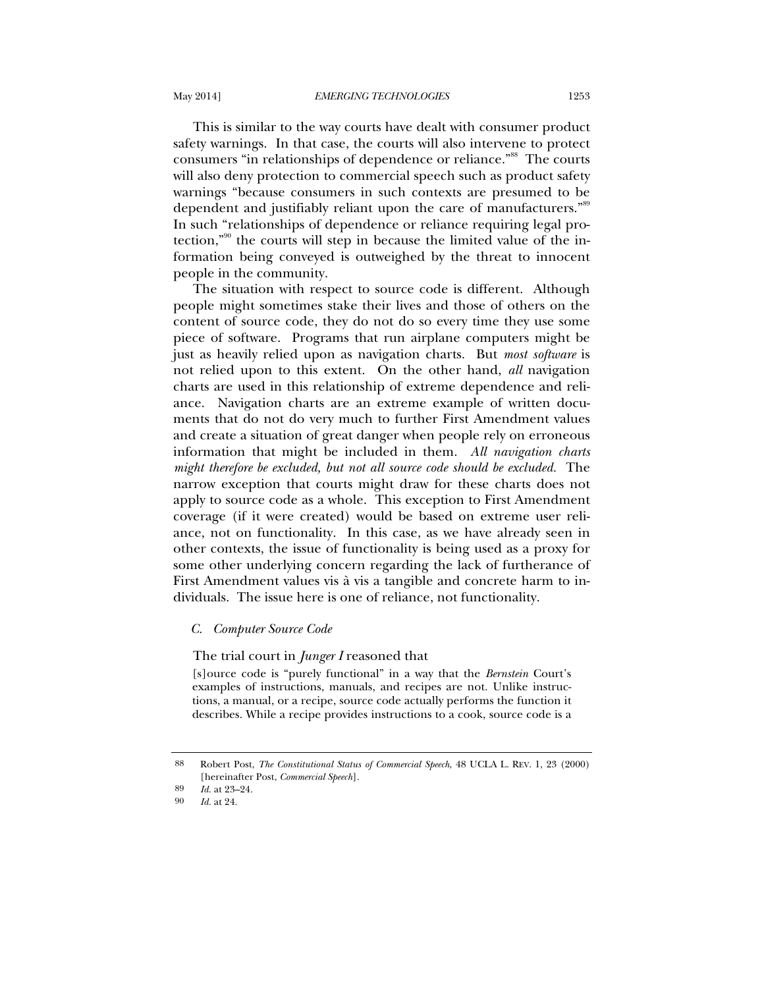This is similar to the way courts have dealt with consumer product safety warnings. In that case, the courts will also intervene to protect consumers "in relationships of dependence or reliance."<sup>88</sup> The courts will also deny protection to commercial speech such as product safety warnings "because consumers in such contexts are presumed to be dependent and justifiably reliant upon the care of manufacturers."<sup>89</sup> In such "relationships of dependence or reliance requiring legal protection,"90 the courts will step in because the limited value of the information being conveyed is outweighed by the threat to innocent people in the community.

The situation with respect to source code is different. Although people might sometimes stake their lives and those of others on the content of source code, they do not do so every time they use some piece of software. Programs that run airplane computers might be just as heavily relied upon as navigation charts. But *most software* is not relied upon to this extent. On the other hand, *all* navigation charts are used in this relationship of extreme dependence and reliance. Navigation charts are an extreme example of written documents that do not do very much to further First Amendment values and create a situation of great danger when people rely on erroneous information that might be included in them. *All navigation charts might therefore be excluded, but not all source code should be excluded.* The narrow exception that courts might draw for these charts does not apply to source code as a whole. This exception to First Amendment coverage (if it were created) would be based on extreme user reliance, not on functionality. In this case, as we have already seen in other contexts, the issue of functionality is being used as a proxy for some other underlying concern regarding the lack of furtherance of First Amendment values vis à vis a tangible and concrete harm to individuals. The issue here is one of reliance, not functionality.

### *C. Computer Source Code*

#### The trial court in *Junger I* reasoned that

[s]ource code is "purely functional" in a way that the *Bernstein* Court's examples of instructions, manuals, and recipes are not. Unlike instructions, a manual, or a recipe, source code actually performs the function it describes. While a recipe provides instructions to a cook, source code is a

<sup>88</sup> Robert Post, *The Constitutional Status of Commercial Speech*, 48 UCLA L. REV. 1, 23 (2000) [hereinafter Post, *Commercial Speech*].

<sup>89</sup> *Id.* at 23–24.<br>90 *Id.* at 24

*Id.* at 24.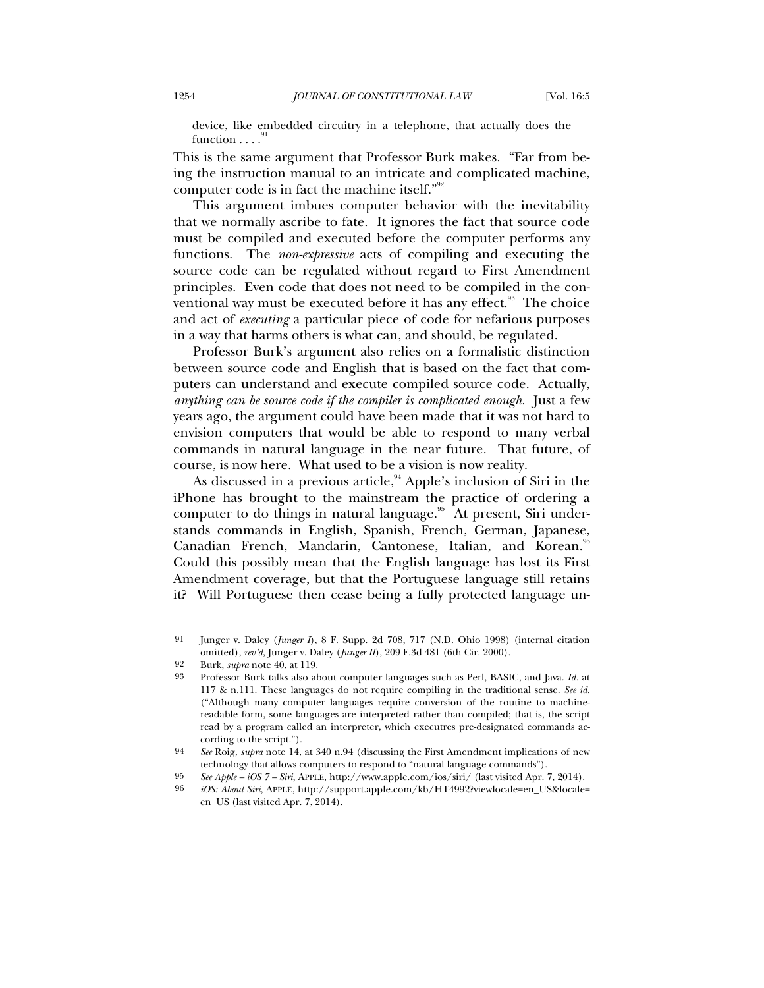device, like embedded circuitry in a telephone, that actually does the function  $\ldots$ .<sup>91</sup>

This is the same argument that Professor Burk makes. "Far from being the instruction manual to an intricate and complicated machine, computer code is in fact the machine itself."92

This argument imbues computer behavior with the inevitability that we normally ascribe to fate. It ignores the fact that source code must be compiled and executed before the computer performs any functions. The *non-expressive* acts of compiling and executing the source code can be regulated without regard to First Amendment principles. Even code that does not need to be compiled in the conventional way must be executed before it has any effect. $93$  The choice and act of *executing* a particular piece of code for nefarious purposes in a way that harms others is what can, and should, be regulated.

Professor Burk's argument also relies on a formalistic distinction between source code and English that is based on the fact that computers can understand and execute compiled source code. Actually, *anything can be source code if the compiler is complicated enough*. Just a few years ago, the argument could have been made that it was not hard to envision computers that would be able to respond to many verbal commands in natural language in the near future. That future, of course, is now here. What used to be a vision is now reality.

As discussed in a previous article,  $94$  Apple's inclusion of Siri in the iPhone has brought to the mainstream the practice of ordering a computer to do things in natural language.<sup>95</sup> At present, Siri understands commands in English, Spanish, French, German, Japanese, Canadian French, Mandarin, Cantonese, Italian, and Korean.<sup>96</sup> Could this possibly mean that the English language has lost its First Amendment coverage, but that the Portuguese language still retains it? Will Portuguese then cease being a fully protected language un-

<sup>91</sup> Junger v. Daley (*Junger I*), 8 F. Supp. 2d 708, 717 (N.D. Ohio 1998) (internal citation omitted), *rev'd*, Junger v. Daley (*Junger II*), 209 F.3d 481 (6th Cir. 2000).

<sup>92</sup> Burk, *supra* note 40, at 119.

<sup>93</sup> Professor Burk talks also about computer languages such as Perl, BASIC, and Java. *Id.* at 117 & n.111. These languages do not require compiling in the traditional sense. *See id.* ("Although many computer languages require conversion of the routine to machinereadable form, some languages are interpreted rather than compiled; that is, the script read by a program called an interpreter, which executres pre-designated commands according to the script.").

<sup>94</sup> *See* Roig, *supra* note 14, at 340 n.94 (discussing the First Amendment implications of new technology that allows computers to respond to "natural language commands").

<sup>95</sup> *See Apple – iOS 7 – Siri*, APPLE, http://www.apple.com/ios/siri/ (last visited Apr. 7, 2014).

<sup>96</sup> *iOS: About Siri*, APPLE, http://support.apple.com/kb/HT4992?viewlocale=en\_US&locale= en\_US (last visited Apr. 7, 2014).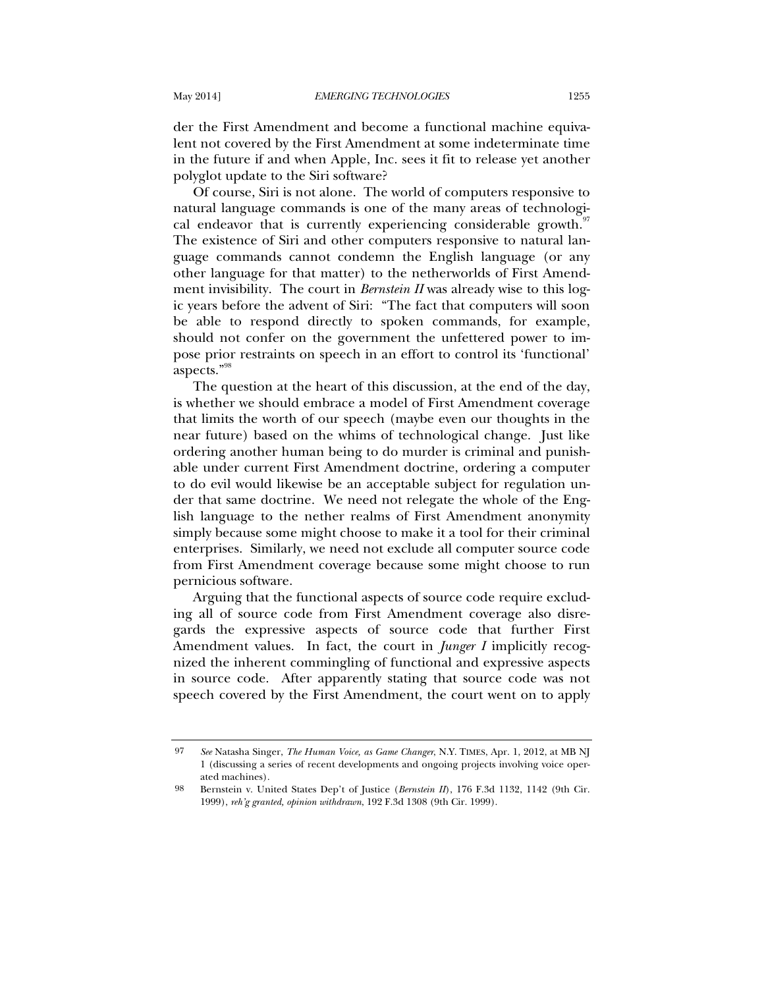der the First Amendment and become a functional machine equivalent not covered by the First Amendment at some indeterminate time in the future if and when Apple, Inc. sees it fit to release yet another polyglot update to the Siri software?

Of course, Siri is not alone. The world of computers responsive to natural language commands is one of the many areas of technological endeavor that is currently experiencing considerable growth.<sup>97</sup> The existence of Siri and other computers responsive to natural language commands cannot condemn the English language (or any other language for that matter) to the netherworlds of First Amendment invisibility. The court in *Bernstein II* was already wise to this logic years before the advent of Siri: "The fact that computers will soon be able to respond directly to spoken commands, for example, should not confer on the government the unfettered power to impose prior restraints on speech in an effort to control its 'functional' aspects."98

The question at the heart of this discussion, at the end of the day, is whether we should embrace a model of First Amendment coverage that limits the worth of our speech (maybe even our thoughts in the near future) based on the whims of technological change. Just like ordering another human being to do murder is criminal and punishable under current First Amendment doctrine, ordering a computer to do evil would likewise be an acceptable subject for regulation under that same doctrine. We need not relegate the whole of the English language to the nether realms of First Amendment anonymity simply because some might choose to make it a tool for their criminal enterprises. Similarly, we need not exclude all computer source code from First Amendment coverage because some might choose to run pernicious software.

Arguing that the functional aspects of source code require excluding all of source code from First Amendment coverage also disregards the expressive aspects of source code that further First Amendment values. In fact, the court in *Junger I* implicitly recognized the inherent commingling of functional and expressive aspects in source code. After apparently stating that source code was not speech covered by the First Amendment, the court went on to apply

<sup>97</sup> *See* Natasha Singer, *The Human Voice, as Game Changer*, N.Y. TIMES, Apr. 1, 2012, at MB NJ 1 (discussing a series of recent developments and ongoing projects involving voice operated machines).

<sup>98</sup> Bernstein v. United States Dep't of Justice (*Bernstein II*), 176 F.3d 1132, 1142 (9th Cir. 1999), *reh'g granted, opinion withdrawn*, 192 F.3d 1308 (9th Cir. 1999).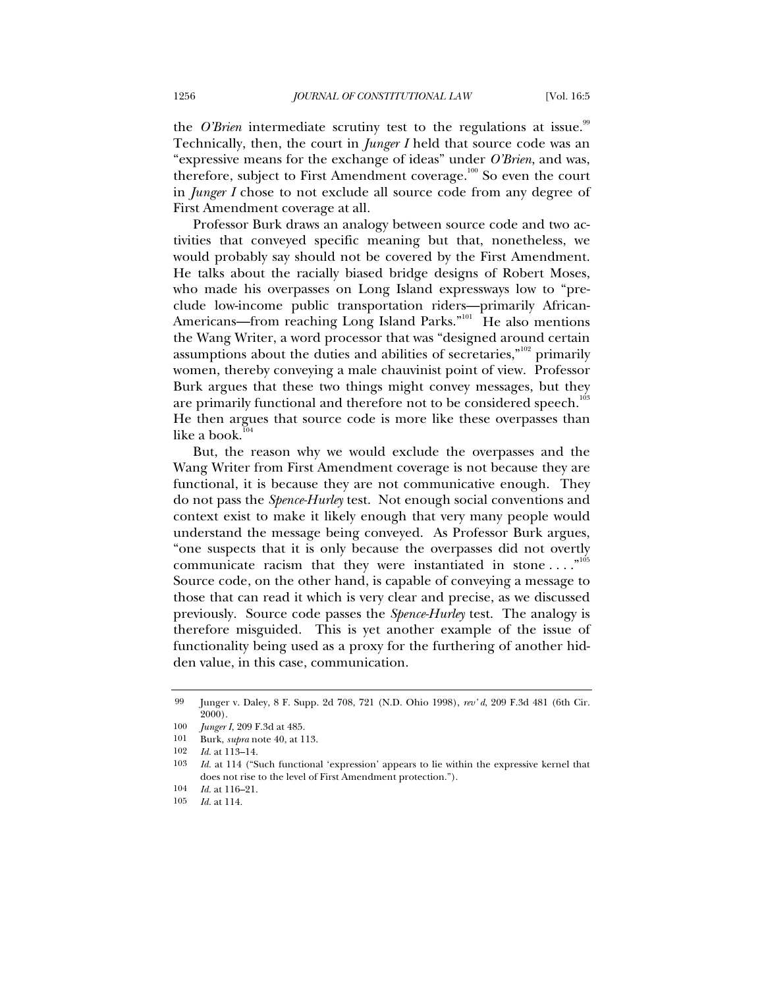the *O'Brien* intermediate scrutiny test to the regulations at issue.<sup>99</sup> Technically, then, the court in *Junger I* held that source code was an "expressive means for the exchange of ideas" under *O'Brien*, and was, therefore, subject to First Amendment coverage. $100$  So even the court in *Junger I* chose to not exclude all source code from any degree of First Amendment coverage at all.

Professor Burk draws an analogy between source code and two activities that conveyed specific meaning but that, nonetheless, we would probably say should not be covered by the First Amendment. He talks about the racially biased bridge designs of Robert Moses, who made his overpasses on Long Island expressways low to "preclude low-income public transportation riders—primarily African-Americans—from reaching Long Island Parks."<sup>101</sup> He also mentions the Wang Writer, a word processor that was "designed around certain assumptions about the duties and abilities of secretaries,"<sup>102</sup> primarily women, thereby conveying a male chauvinist point of view. Professor Burk argues that these two things might convey messages, but they are primarily functional and therefore not to be considered speech.<sup>103</sup> He then argues that source code is more like these overpasses than like a book. $\overline{1}$ 

But, the reason why we would exclude the overpasses and the Wang Writer from First Amendment coverage is not because they are functional, it is because they are not communicative enough. They do not pass the *Spence-Hurley* test. Not enough social conventions and context exist to make it likely enough that very many people would understand the message being conveyed. As Professor Burk argues, "one suspects that it is only because the overpasses did not overtly communicate racism that they were instantiated in stone ...."<sup>105</sup> Source code, on the other hand, is capable of conveying a message to those that can read it which is very clear and precise, as we discussed previously. Source code passes the *Spence-Hurley* test. The analogy is therefore misguided. This is yet another example of the issue of functionality being used as a proxy for the furthering of another hidden value, in this case, communication.

<sup>99</sup> Junger v. Daley, 8 F. Supp. 2d 708, 721 (N.D. Ohio 1998), *rev' d*, 209 F.3d 481 (6th Cir. 2000).

<sup>100</sup> *Junger I*, 209 F.3d at 485.

<sup>101</sup> Burk, *supra* note 40, at 113.<br>102 *Id* at 113–14

*Id.* at 113-14.

<sup>103</sup> *Id.* at 114 ("Such functional 'expression' appears to lie within the expressive kernel that does not rise to the level of First Amendment protection.").

<sup>104</sup> *Id.* at 116–21.

<sup>105</sup> *Id.* at 114.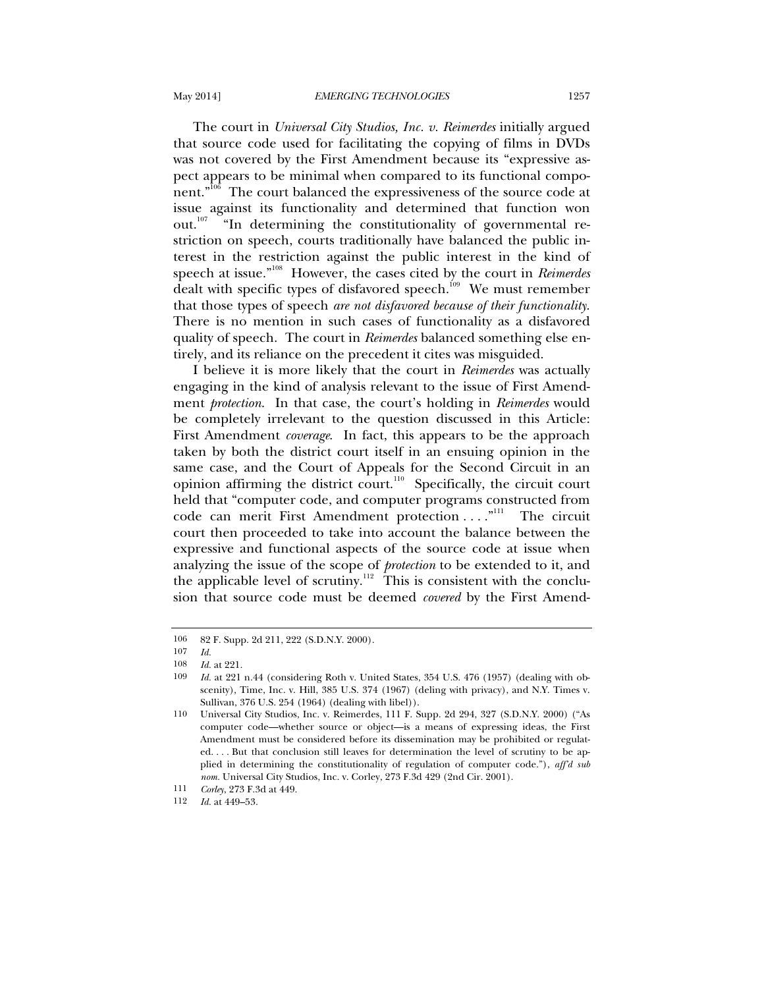The court in *Universal City Studios, Inc. v. Reimerdes* initially argued that source code used for facilitating the copying of films in DVDs was not covered by the First Amendment because its "expressive aspect appears to be minimal when compared to its functional component."<sup>106</sup> The court balanced the expressiveness of the source code at issue against its functionality and determined that function won out. $107$  "In determining the constitutionality of governmental restriction on speech, courts traditionally have balanced the public interest in the restriction against the public interest in the kind of speech at issue."108 However, the cases cited by the court in *Reimerdes* dealt with specific types of disfavored speech.<sup>109</sup> We must remember that those types of speech *are not disfavored because of their functionality*. There is no mention in such cases of functionality as a disfavored quality of speech. The court in *Reimerdes* balanced something else entirely, and its reliance on the precedent it cites was misguided.

I believe it is more likely that the court in *Reimerdes* was actually engaging in the kind of analysis relevant to the issue of First Amendment *protection*. In that case, the court's holding in *Reimerdes* would be completely irrelevant to the question discussed in this Article: First Amendment *coverage*. In fact, this appears to be the approach taken by both the district court itself in an ensuing opinion in the same case, and the Court of Appeals for the Second Circuit in an opinion affirming the district court.<sup>110</sup> Specifically, the circuit court held that "computer code, and computer programs constructed from code can merit First Amendment protection . . . . "<sup>111</sup> The circuit court then proceeded to take into account the balance between the expressive and functional aspects of the source code at issue when analyzing the issue of the scope of *protection* to be extended to it, and the applicable level of scrutiny.<sup>112</sup> This is consistent with the conclusion that source code must be deemed *covered* by the First Amend-

<sup>106 82</sup> F. Supp. 2d 211, 222 (S.D.N.Y. 2000).<br>107 Id

<sup>107</sup> *Id.*

<sup>108</sup> *Id.* at 221.<br>109 *Id.* at 221.

*Id.* at 221 n.44 (considering Roth v. United States, 354 U.S. 476 (1957) (dealing with obscenity), Time, Inc. v. Hill, 385 U.S. 374 (1967) (deling with privacy), and N.Y. Times v. Sullivan, 376 U.S. 254 (1964) (dealing with libel)).

<sup>110</sup> Universal City Studios, Inc. v. Reimerdes, 111 F. Supp. 2d 294, 327 (S.D.N.Y. 2000) ("As computer code—whether source or object—is a means of expressing ideas, the First Amendment must be considered before its dissemination may be prohibited or regulated. . . . But that conclusion still leaves for determination the level of scrutiny to be applied in determining the constitutionality of regulation of computer code."), *aff'd sub nom.* Universal City Studios, Inc. v. Corley, 273 F.3d 429 (2nd Cir. 2001).

<sup>111</sup> *Corley*, 273 F.3d at 449.

<sup>112</sup> *Id.* at 449–53.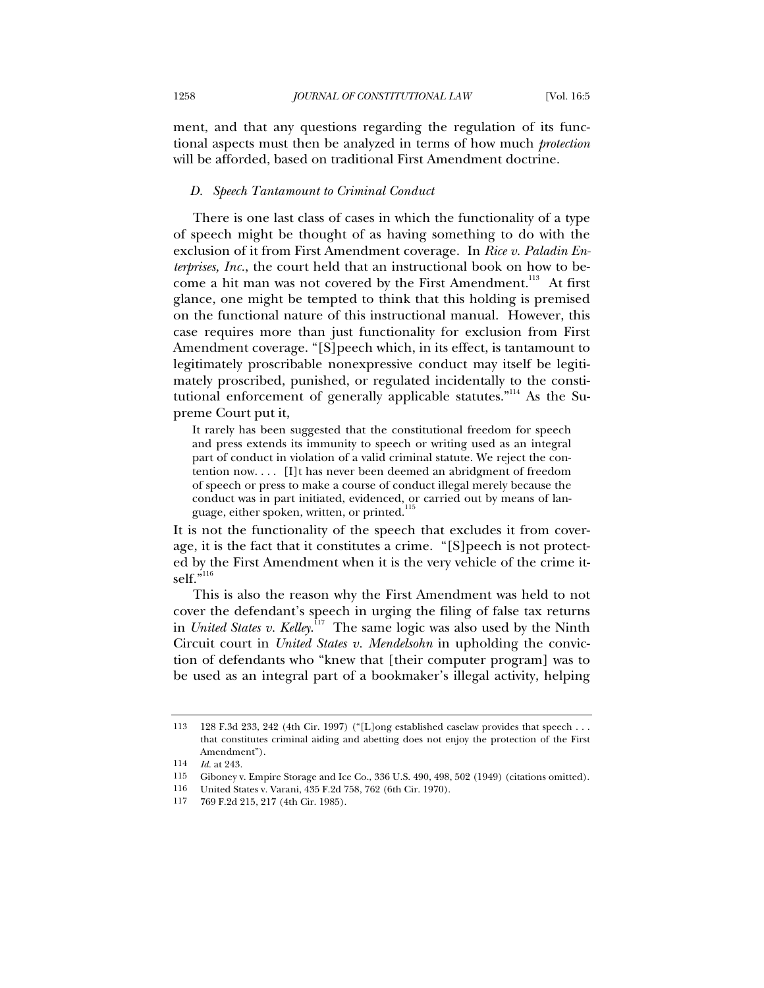ment, and that any questions regarding the regulation of its functional aspects must then be analyzed in terms of how much *protection* will be afforded, based on traditional First Amendment doctrine.

## *D. Speech Tantamount to Criminal Conduct*

There is one last class of cases in which the functionality of a type of speech might be thought of as having something to do with the exclusion of it from First Amendment coverage. In *Rice v. Paladin Enterprises, Inc.*, the court held that an instructional book on how to become a hit man was not covered by the First Amendment.<sup>113</sup> At first glance, one might be tempted to think that this holding is premised on the functional nature of this instructional manual. However, this case requires more than just functionality for exclusion from First Amendment coverage. "[S]peech which, in its effect, is tantamount to legitimately proscribable nonexpressive conduct may itself be legitimately proscribed, punished, or regulated incidentally to the constitutional enforcement of generally applicable statutes."114 As the Supreme Court put it,

It rarely has been suggested that the constitutional freedom for speech and press extends its immunity to speech or writing used as an integral part of conduct in violation of a valid criminal statute. We reject the contention now. . . . [I]t has never been deemed an abridgment of freedom of speech or press to make a course of conduct illegal merely because the conduct was in part initiated, evidenced, or carried out by means of language, either spoken, written, or printed.

It is not the functionality of the speech that excludes it from coverage, it is the fact that it constitutes a crime. "[S]peech is not protected by the First Amendment when it is the very vehicle of the crime itself."<sup>116</sup>

This is also the reason why the First Amendment was held to not cover the defendant's speech in urging the filing of false tax returns in *United States v. Kelley*. 117 The same logic was also used by the Ninth Circuit court in *United States v. Mendelsohn* in upholding the conviction of defendants who "knew that [their computer program] was to be used as an integral part of a bookmaker's illegal activity, helping

<sup>113 128</sup> F.3d 233, 242 (4th Cir. 1997) ("[L]ong established caselaw provides that speech . . . that constitutes criminal aiding and abetting does not enjoy the protection of the First Amendment").

<sup>114</sup> *Id.* at 243.

<sup>115</sup> Giboney v. Empire Storage and Ice Co., 336 U.S. 490, 498, 502 (1949) (citations omitted).

<sup>116</sup> United States v. Varani, 435 F.2d 758, 762 (6th Cir. 1970).

<sup>769</sup> F.2d 215, 217 (4th Cir. 1985).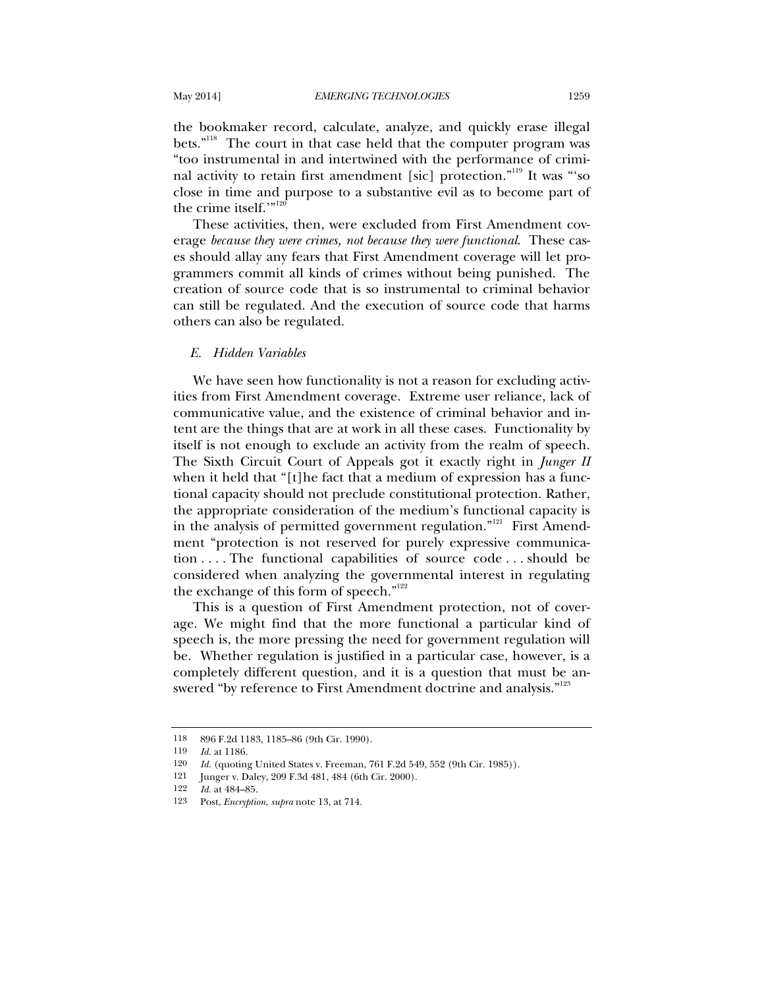the bookmaker record, calculate, analyze, and quickly erase illegal bets."<sup>118</sup> The court in that case held that the computer program was "too instrumental in and intertwined with the performance of criminal activity to retain first amendment [sic] protection."119 It was "'so close in time and purpose to a substantive evil as to become part of the crime itself.'"<sup>120</sup>

These activities, then, were excluded from First Amendment coverage *because they were crimes, not because they were functional*. These cases should allay any fears that First Amendment coverage will let programmers commit all kinds of crimes without being punished. The creation of source code that is so instrumental to criminal behavior can still be regulated. And the execution of source code that harms others can also be regulated.

# *E. Hidden Variables*

We have seen how functionality is not a reason for excluding activities from First Amendment coverage. Extreme user reliance, lack of communicative value, and the existence of criminal behavior and intent are the things that are at work in all these cases. Functionality by itself is not enough to exclude an activity from the realm of speech. The Sixth Circuit Court of Appeals got it exactly right in *Junger II* when it held that "[t]he fact that a medium of expression has a functional capacity should not preclude constitutional protection. Rather, the appropriate consideration of the medium's functional capacity is in the analysis of permitted government regulation."<sup>121</sup> First Amendment "protection is not reserved for purely expressive communication . . . . The functional capabilities of source code . . . should be considered when analyzing the governmental interest in regulating the exchange of this form of speech."<sup>122</sup>

This is a question of First Amendment protection, not of coverage. We might find that the more functional a particular kind of speech is, the more pressing the need for government regulation will be. Whether regulation is justified in a particular case, however, is a completely different question, and it is a question that must be answered "by reference to First Amendment doctrine and analysis."<sup>123</sup>

<sup>118 896</sup> F.2d 1183, 1185–86 (9th Cir. 1990).<br>119 *Ida* 1186

*Id.* at 1186.

<sup>120</sup> *Id.* (quoting United States v. Freeman, 761 F.2d 549, 552 (9th Cir. 1985)).

<sup>121</sup> Junger v. Daley, 209 F.3d 481, 484 (6th Cir. 2000).

<sup>122</sup> *Id.* at 484–85.

<sup>123</sup> Post, *Encryption*, *supra* note 13, at 714.